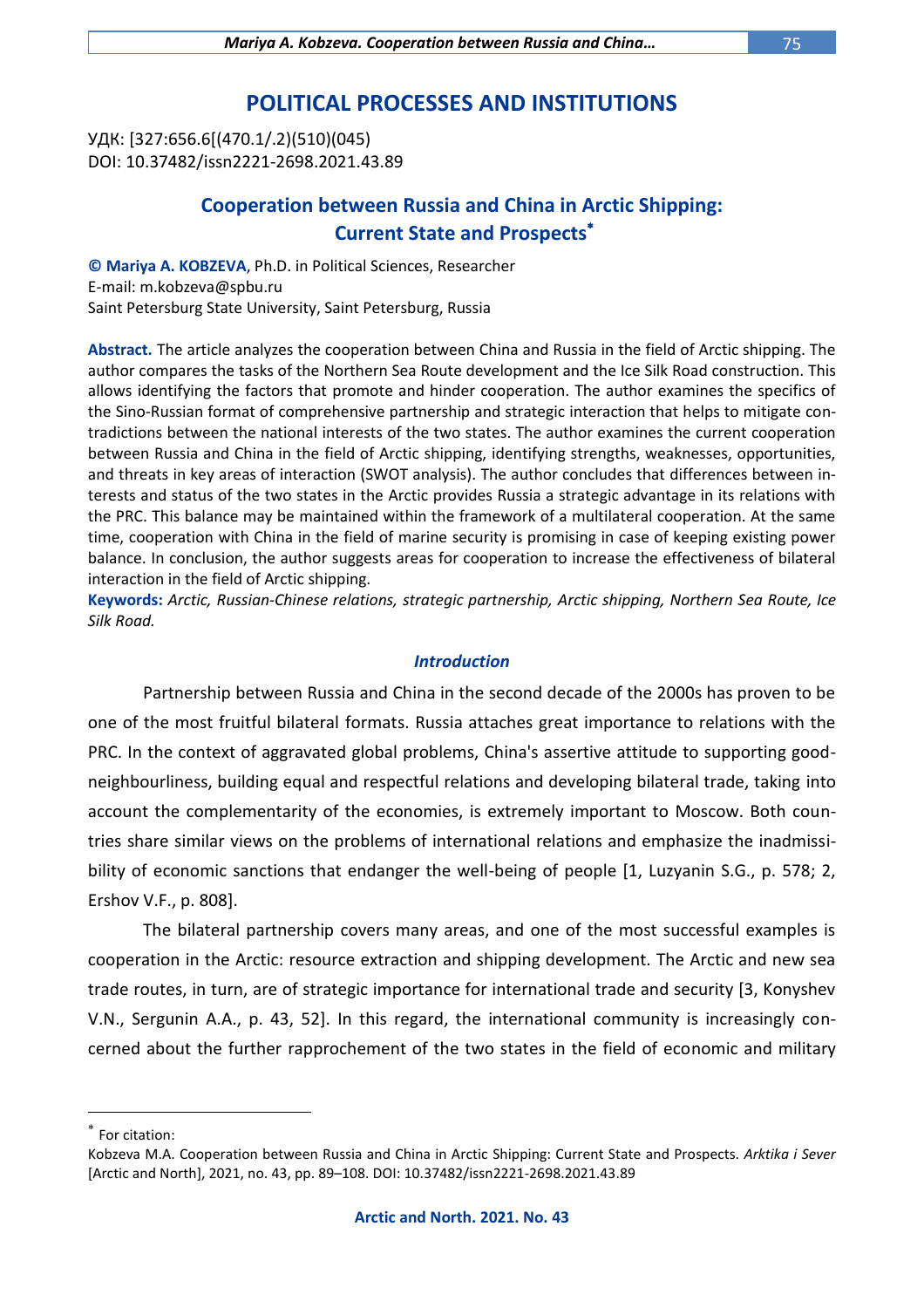# **POLITICAL PROCESSES AND INSTITUTIONS**

УДК: [327:656.6[(470.1/.2)(510)(045) DOI: 10.37482/issn2221-2698.2021.43.89

## **Cooperation between Russia and China in Arctic Shipping: Current State and Prospects**

**© Mariya A. KOBZEVA**, Ph.D. in Political Sciences, Researcher E-mail: m.kobzeva@spbu.ru Saint Petersburg State University, Saint Petersburg, Russia

**Abstract.** The article analyzes the cooperation between China and Russia in the field of Arctic shipping. The author compares the tasks of the Northern Sea Route development and the Ice Silk Road construction. This allows identifying the factors that promote and hinder cooperation. The author examines the specifics of the Sino-Russian format of comprehensive partnership and strategic interaction that helps to mitigate contradictions between the national interests of the two states. The author examines the current cooperation between Russia and China in the field of Arctic shipping, identifying strengths, weaknesses, opportunities, and threats in key areas of interaction (SWOT analysis). The author concludes that differences between interests and status of the two states in the Arctic provides Russia a strategic advantage in its relations with the PRC. This balance may be maintained within the framework of a multilateral cooperation. At the same time, cooperation with China in the field of marine security is promising in case of keeping existing power balance. In conclusion, the author suggests areas for cooperation to increase the effectiveness of bilateral interaction in the field of Arctic shipping.

**Keywords:** *Arctic, Russian-Chinese relations, strategic partnership, Arctic shipping, Northern Sea Route, Ice Silk Road.*

#### *Introduction*

Partnership between Russia and China in the second decade of the 2000s has proven to be one of the most fruitful bilateral formats. Russia attaches great importance to relations with the PRC. In the context of aggravated global problems, China's assertive attitude to supporting goodneighbourliness, building equal and respectful relations and developing bilateral trade, taking into account the complementarity of the economies, is extremely important to Moscow. Both countries share similar views on the problems of international relations and emphasize the inadmissibility of economic sanctions that endanger the well-being of people [1, Luzyanin S.G., p. 578; 2, Ershov V.F., p. 808].

The bilateral partnership covers many areas, and one of the most successful examples is cooperation in the Arctic: resource extraction and shipping development. The Arctic and new sea trade routes, in turn, are of strategic importance for international trade and security [3, Konyshev V.N., Sergunin A.A., p. 43, 52]. In this regard, the international community is increasingly concerned about the further rapprochement of the two states in the field of economic and military

<sup>\*</sup> For citation:

Kobzeva M.A. Cooperation between Russia and China in Arctic Shipping: Current State and Prospects. *Arktika i Sever* [Arctic and North], 2021, no. 43, pp. 89–108. DOI: 10.37482/issn2221-2698.2021.43.89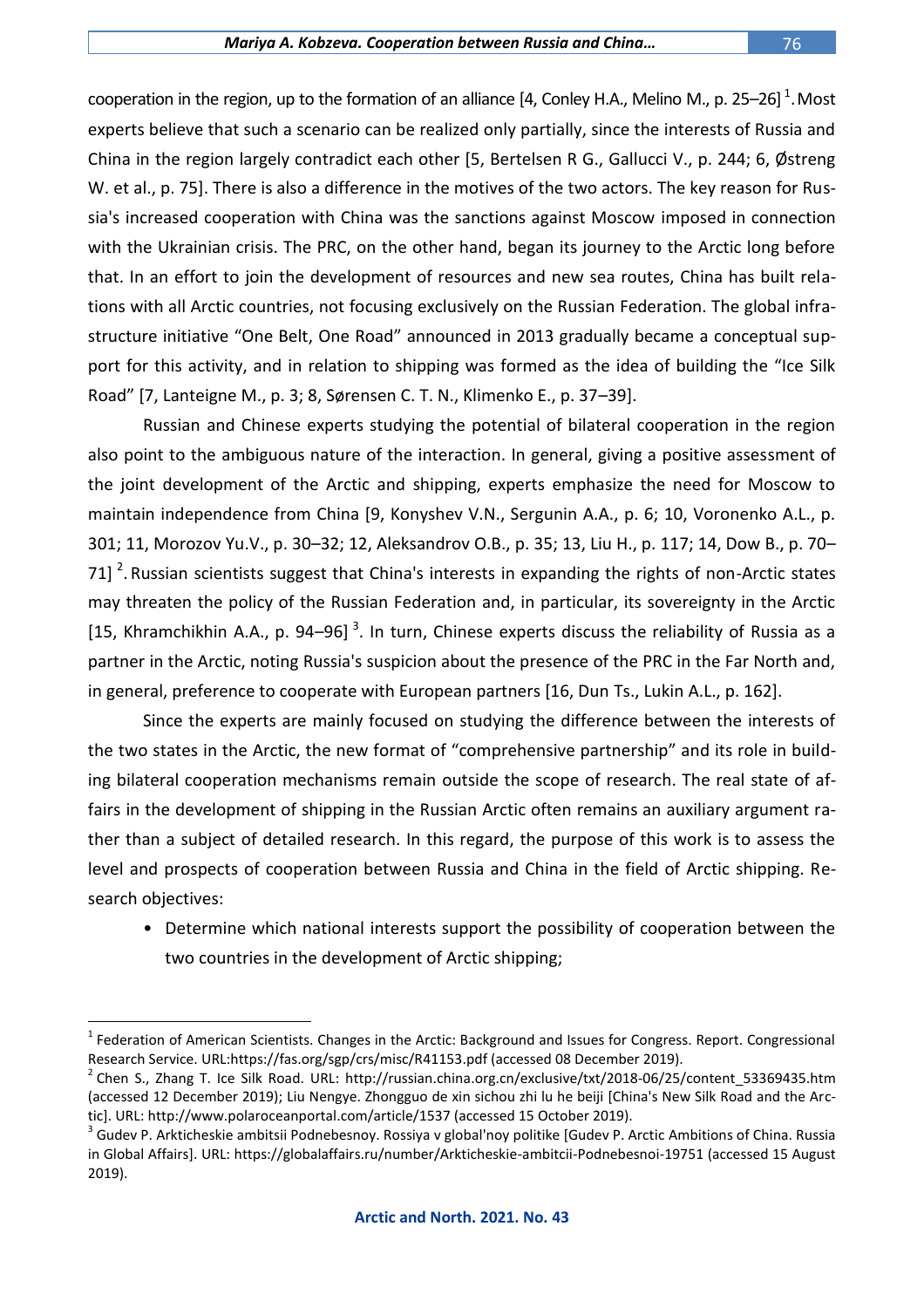cooperation in the region, up to the formation of an alliance [4, Conley H.A., Melino M., p. 25–26]  $^{\text{1}}$ . Most experts believe that such a scenario can be realized only partially, since the interests of Russia and China in the region largely contradict each other [5, Bertelsen R G., Gallucci V., p. 244; 6, Østreng W. et al., p. 75]. There is also a difference in the motives of the two actors. The key reason for Russia's increased cooperation with China was the sanctions against Moscow imposed in connection with the Ukrainian crisis. The PRC, on the other hand, began its journey to the Arctic long before that. In an effort to join the development of resources and new sea routes, China has built relations with all Arctic countries, not focusing exclusively on the Russian Federation. The global infrastructure initiative "One Belt, One Road" announced in 2013 gradually became a conceptual support for this activity, and in relation to shipping was formed as the idea of building the "Ice Silk Road" [7, Lanteigne M., p. 3; 8, Sørensen C. T. N., Klimenko E., p. 37–39].

Russian and Chinese experts studying the potential of bilateral cooperation in the region also point to the ambiguous nature of the interaction. In general, giving a positive assessment of the joint development of the Arctic and shipping, experts emphasize the need for Moscow to maintain independence from China [9, Konyshev V.N., Sergunin A.A., p. 6; 10, Voronenko A.L., p. 301; 11, Morozov Yu.V., p. 30–32; 12, Aleksandrov O.B., p. 35; 13, Liu H., p. 117; 14, Dow B., p. 70– 71] <sup>2</sup>. Russian scientists suggest that China's interests in expanding the rights of non-Arctic states may threaten the policy of the Russian Federation and, in particular, its sovereignty in the Arctic [15, Khramchikhin A.A., p. 94–96]<sup>3</sup>. In turn, Chinese experts discuss the reliability of Russia as a partner in the Arctic, noting Russia's suspicion about the presence of the PRC in the Far North and, in general, preference to cooperate with European partners [16, Dun Ts., Lukin A.L., p. 162].

Since the experts are mainly focused on studying the difference between the interests of the two states in the Arctic, the new format of "comprehensive partnership" and its role in building bilateral cooperation mechanisms remain outside the scope of research. The real state of affairs in the development of shipping in the Russian Arctic often remains an auxiliary argument rather than a subject of detailed research. In this regard, the purpose of this work is to assess the level and prospects of cooperation between Russia and China in the field of Arctic shipping. Research objectives:

• Determine which national interests support the possibility of cooperation between the two countries in the development of Arctic shipping;

<sup>&</sup>lt;sup>1</sup> Federation of American Scientists. Changes in the Arctic: Background and Issues for Congress. Report. Congressional Research Service. URL:https://fas.org/sgp/crs/misc/R41153.pdf (accessed 08 December 2019).

<sup>&</sup>lt;sup>2</sup> Chen S., Zhang T. Ice Silk Road. URL: http://russian.china.org.cn/exclusive/txt/2018-06/25/content\_53369435.htm (accessed 12 December 2019); Liu Nengye. Zhongguo de xin sichou zhi lu he beiji [China's New Silk Road and the Arctic]. URL: http://www.polaroceanportal.com/article/1537 (accessed 15 October 2019).

 $^3$  Gudev P. Arkticheskie ambitsii Podnebesnoy. Rossiya v global'noy politike [Gudev P. Arctic Ambitions of China. Russia in Global Affairs]. URL: https://globalaffairs.ru/number/Arkticheskie-ambitcii-Podnebesnoi-19751 (accessed 15 August 2019).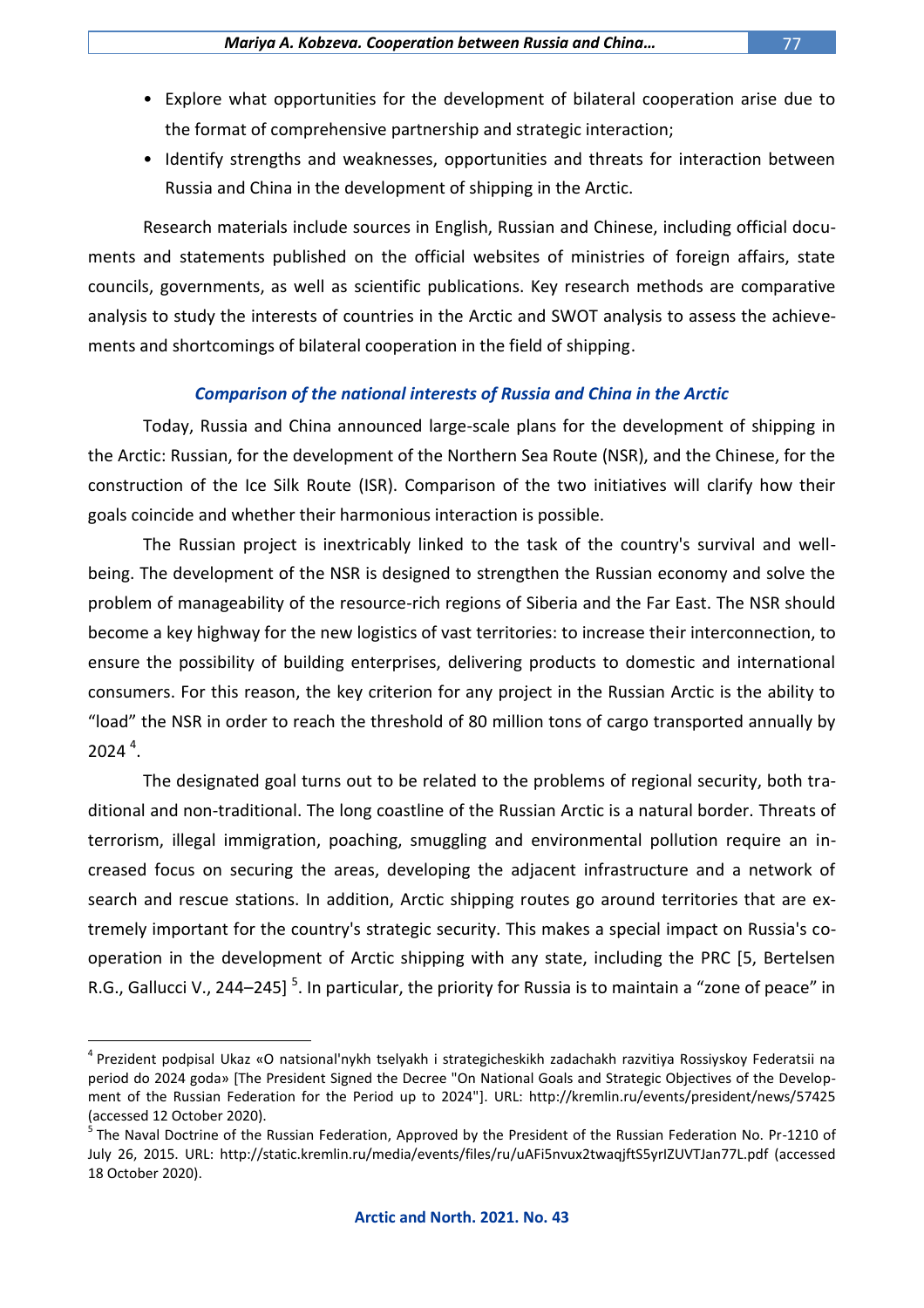- Explore what opportunities for the development of bilateral cooperation arise due to the format of comprehensive partnership and strategic interaction;
- Identify strengths and weaknesses, opportunities and threats for interaction between Russia and China in the development of shipping in the Arctic.

Research materials include sources in English, Russian and Chinese, including official documents and statements published on the official websites of ministries of foreign affairs, state councils, governments, as well as scientific publications. Key research methods are comparative analysis to study the interests of countries in the Arctic and SWOT analysis to assess the achievements and shortcomings of bilateral cooperation in the field of shipping.

### *Comparison of the national interests of Russia and China in the Arctic*

Today, Russia and China announced large-scale plans for the development of shipping in the Arctic: Russian, for the development of the Northern Sea Route (NSR), and the Chinese, for the construction of the Ice Silk Route (ISR). Comparison of the two initiatives will clarify how their goals coincide and whether their harmonious interaction is possible.

The Russian project is inextricably linked to the task of the country's survival and wellbeing. The development of the NSR is designed to strengthen the Russian economy and solve the problem of manageability of the resource-rich regions of Siberia and the Far East. The NSR should become a key highway for the new logistics of vast territories: to increase their interconnection, to ensure the possibility of building enterprises, delivering products to domestic and international consumers. For this reason, the key criterion for any project in the Russian Arctic is the ability to "load" the NSR in order to reach the threshold of 80 million tons of cargo transported annually by  $2024<sup>4</sup>$ .

The designated goal turns out to be related to the problems of regional security, both traditional and non-traditional. The long coastline of the Russian Arctic is a natural border. Threats of terrorism, illegal immigration, poaching, smuggling and environmental pollution require an increased focus on securing the areas, developing the adjacent infrastructure and a network of search and rescue stations. In addition, Arctic shipping routes go around territories that are extremely important for the country's strategic security. This makes a special impact on Russia's cooperation in the development of Arctic shipping with any state, including the PRC [5, Bertelsen R.G., Gallucci V., 244–245] <sup>5</sup>. In particular, the priority for Russia is to maintain a "zone of peace" in

<sup>4</sup> Prezident podpisal Ukaz «O natsional'nykh tselyakh i strategicheskikh zadachakh razvitiya Rossiyskoy Federatsii na period do 2024 goda» [The President Signed the Decree "On National Goals and Strategic Objectives of the Development of the Russian Federation for the Period up to 2024"]. URL: http://kremlin.ru/events/president/news/57425 (accessed 12 October 2020).

<sup>5</sup> The Naval Doctrine of the Russian Federation, Approved by the President of the Russian Federation No. Pr-1210 of July 26, 2015. URL: http://static.kremlin.ru/media/events/files/ru/uAFi5nvux2twaqjftS5yrIZUVTJan77L.pdf (accessed 18 October 2020).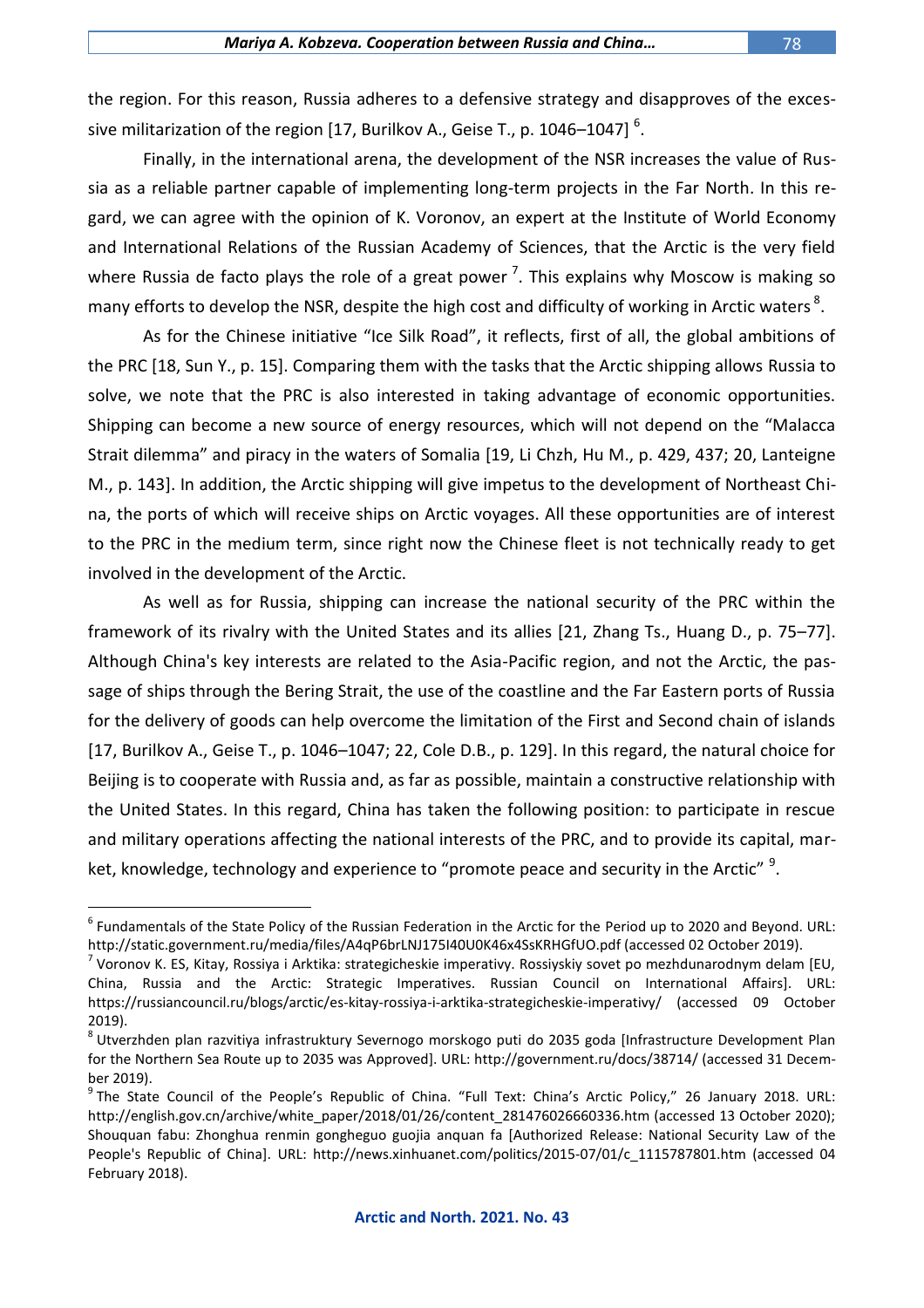the region. For this reason, Russia adheres to a defensive strategy and disapproves of the excessive militarization of the region [17, Burilkov A., Geise T., p. 1046–1047]  $^6$ .

Finally, in the international arena, the development of the NSR increases the value of Russia as a reliable partner capable of implementing long-term projects in the Far North. In this regard, we can agree with the opinion of K. Voronov, an expert at the Institute of World Economy and International Relations of the Russian Academy of Sciences, that the Arctic is the very field where Russia de facto plays the role of a great power<sup>7</sup>. This explains why Moscow is making so many efforts to develop the NSR, despite the high cost and difficulty of working in Arctic waters  $^8$ .

As for the Chinese initiative "Ice Silk Road", it reflects, first of all, the global ambitions of the PRC [18, Sun Y., p. 15]. Comparing them with the tasks that the Arctic shipping allows Russia to solve, we note that the PRC is also interested in taking advantage of economic opportunities. Shipping can become a new source of energy resources, which will not depend on the "Malacca Strait dilemma" and piracy in the waters of Somalia [19, Li Chzh, Hu M., p. 429, 437; 20, Lanteigne M., p. 143]. In addition, the Arctic shipping will give impetus to the development of Northeast China, the ports of which will receive ships on Arctic voyages. All these opportunities are of interest to the PRC in the medium term, since right now the Chinese fleet is not technically ready to get involved in the development of the Arctic.

As well as for Russia, shipping can increase the national security of the PRC within the framework of its rivalry with the United States and its allies [21, Zhang Ts., Huang D., p. 75–77]. Although China's key interests are related to the Asia-Pacific region, and not the Arctic, the passage of ships through the Bering Strait, the use of the coastline and the Far Eastern ports of Russia for the delivery of goods can help overcome the limitation of the First and Second chain of islands [17, Burilkov A., Geise T., p. 1046–1047; 22, Cole D.B., p. 129]. In this regard, the natural choice for Beijing is to cooperate with Russia and, as far as possible, maintain a constructive relationship with the United States. In this regard, China has taken the following position: to participate in rescue and military operations affecting the national interests of the PRC, and to provide its capital, market, knowledge, technology and experience to "promote peace and security in the Arctic" <sup>9</sup>.

<sup>6</sup> Fundamentals of the State Policy of the Russian Federation in the Arctic for the Period up to 2020 and Beyond. URL: http://static.government.ru/media/files/A4qP6brLNJ175I40U0K46x4SsKRHGfUO.pdf (accessed 02 October 2019).

<sup>&</sup>lt;sup>7</sup> Voronov K. ES, Kitay, Rossiya i Arktika: strategicheskie imperativy. Rossiyskiy sovet po mezhdunarodnym delam [EU, China, Russia and the Arctic: Strategic Imperatives. Russian Council on International Affairs]. URL: https://russiancouncil.ru/blogs/arctic/es-kitay-rossiya-i-arktika-strategicheskie-imperativy/ (accessed 09 October 2019).

<sup>&</sup>lt;sup>8</sup> Utverzhden plan razvitiya infrastruktury Severnogo morskogo puti do 2035 goda [Infrastructure Development Plan for the Northern Sea Route up to 2035 was Approved]. URL: http://government.ru/docs/38714/ (accessed 31 December 2019).

<sup>&</sup>lt;sup>9</sup> The State Council of the People's Republic of China. "Full Text: China's Arctic Policy," 26 January 2018. URL: http://english.gov.cn/archive/white\_paper/2018/01/26/content\_281476026660336.htm (accessed 13 October 2020); Shouquan fabu: Zhonghua renmin gongheguo guojia anquan fa [Authorized Release: National Security Law of the People's Republic of China]. URL: http://news.xinhuanet.com/politics/2015-07/01/c\_1115787801.htm (accessed 04 February 2018).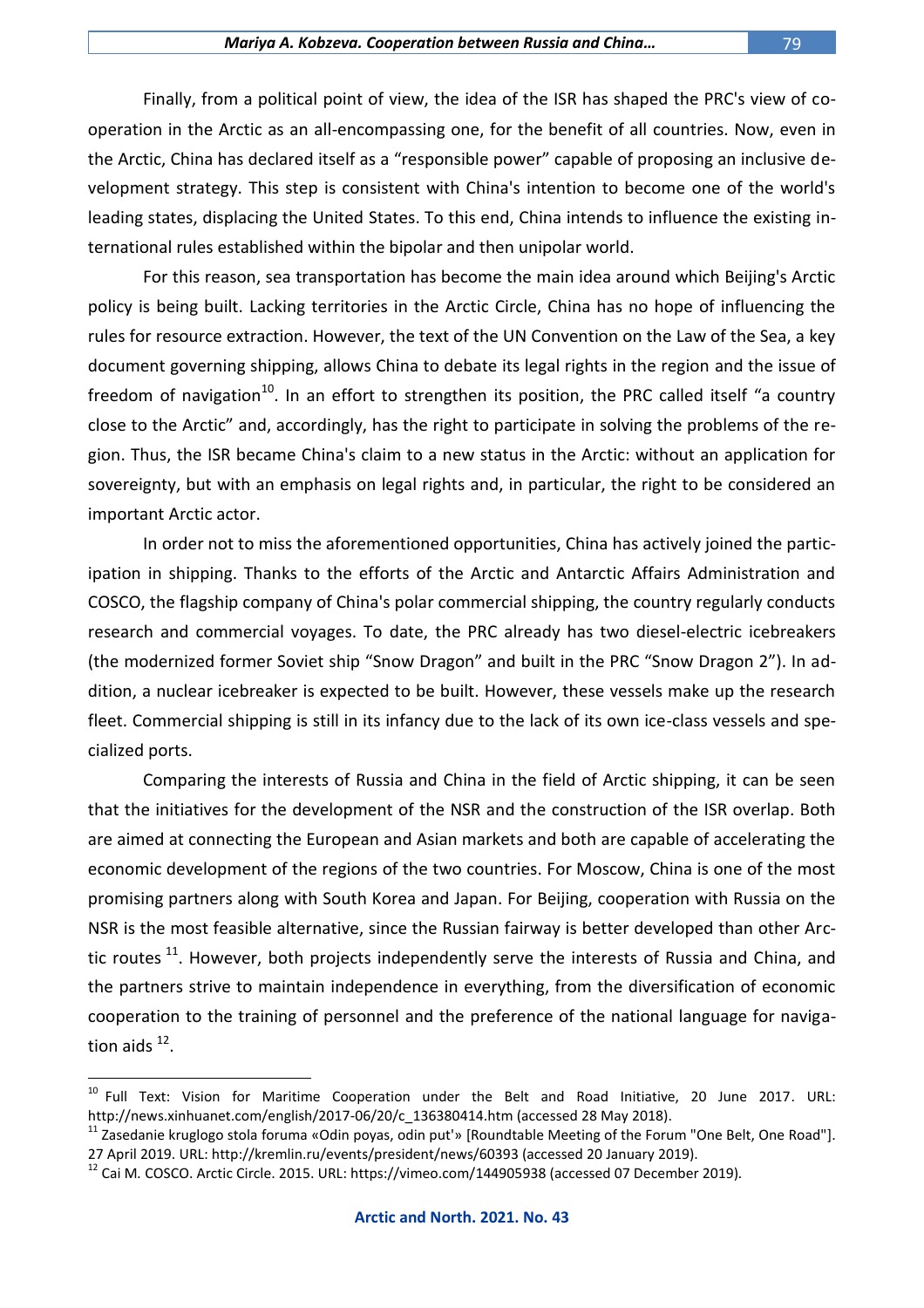Finally, from a political point of view, the idea of the ISR has shaped the PRC's view of cooperation in the Arctic as an all-encompassing one, for the benefit of all countries. Now, even in the Arctic, China has declared itself as a "responsible power" capable of proposing an inclusive development strategy. This step is consistent with China's intention to become one of the world's leading states, displacing the United States. To this end, China intends to influence the existing international rules established within the bipolar and then unipolar world.

For this reason, sea transportation has become the main idea around which Beijing's Arctic policy is being built. Lacking territories in the Arctic Circle, China has no hope of influencing the rules for resource extraction. However, the text of the UN Convention on the Law of the Sea, a key document governing shipping, allows China to debate its legal rights in the region and the issue of freedom of navigation<sup>10</sup>. In an effort to strengthen its position, the PRC called itself "a country close to the Arctic" and, accordingly, has the right to participate in solving the problems of the region. Thus, the ISR became China's claim to a new status in the Arctic: without an application for sovereignty, but with an emphasis on legal rights and, in particular, the right to be considered an important Arctic actor.

In order not to miss the aforementioned opportunities, China has actively joined the participation in shipping. Thanks to the efforts of the Arctic and Antarctic Affairs Administration and COSCO, the flagship company of China's polar commercial shipping, the country regularly conducts research and commercial voyages. To date, the PRC already has two diesel-electric icebreakers (the modernized former Soviet ship "Snow Dragon" and built in the PRC "Snow Dragon 2"). In addition, a nuclear icebreaker is expected to be built. However, these vessels make up the research fleet. Commercial shipping is still in its infancy due to the lack of its own ice-class vessels and specialized ports.

Comparing the interests of Russia and China in the field of Arctic shipping, it can be seen that the initiatives for the development of the NSR and the construction of the ISR overlap. Both are aimed at connecting the European and Asian markets and both are capable of accelerating the economic development of the regions of the two countries. For Moscow, China is one of the most promising partners along with South Korea and Japan. For Beijing, cooperation with Russia on the NSR is the most feasible alternative, since the Russian fairway is better developed than other Arctic routes  $11$ . However, both projects independently serve the interests of Russia and China, and the partners strive to maintain independence in everything, from the diversification of economic cooperation to the training of personnel and the preference of the national language for navigation aids  $^{12}$ .

<sup>&</sup>lt;sup>10</sup> Full Text: Vision for Maritime Cooperation under the Belt and Road Initiative, 20 June 2017. URL: http://news.xinhuanet.com/english/2017-06/20/c\_136380414.htm (accessed 28 May 2018).

<sup>&</sup>lt;sup>11</sup> Zasedanie kruglogo stola foruma «Odin poyas, odin put'» [Roundtable Meeting of the Forum "One Belt, One Road"]. 27 April 2019. URL: http://kremlin.ru/events/president/news/60393 (accessed 20 January 2019).

<sup>12</sup> Cai M*.* COSCO. Arctic Circle. 2015. URL: https://vimeo.com/144905938 (accessed 07 December 2019)*.*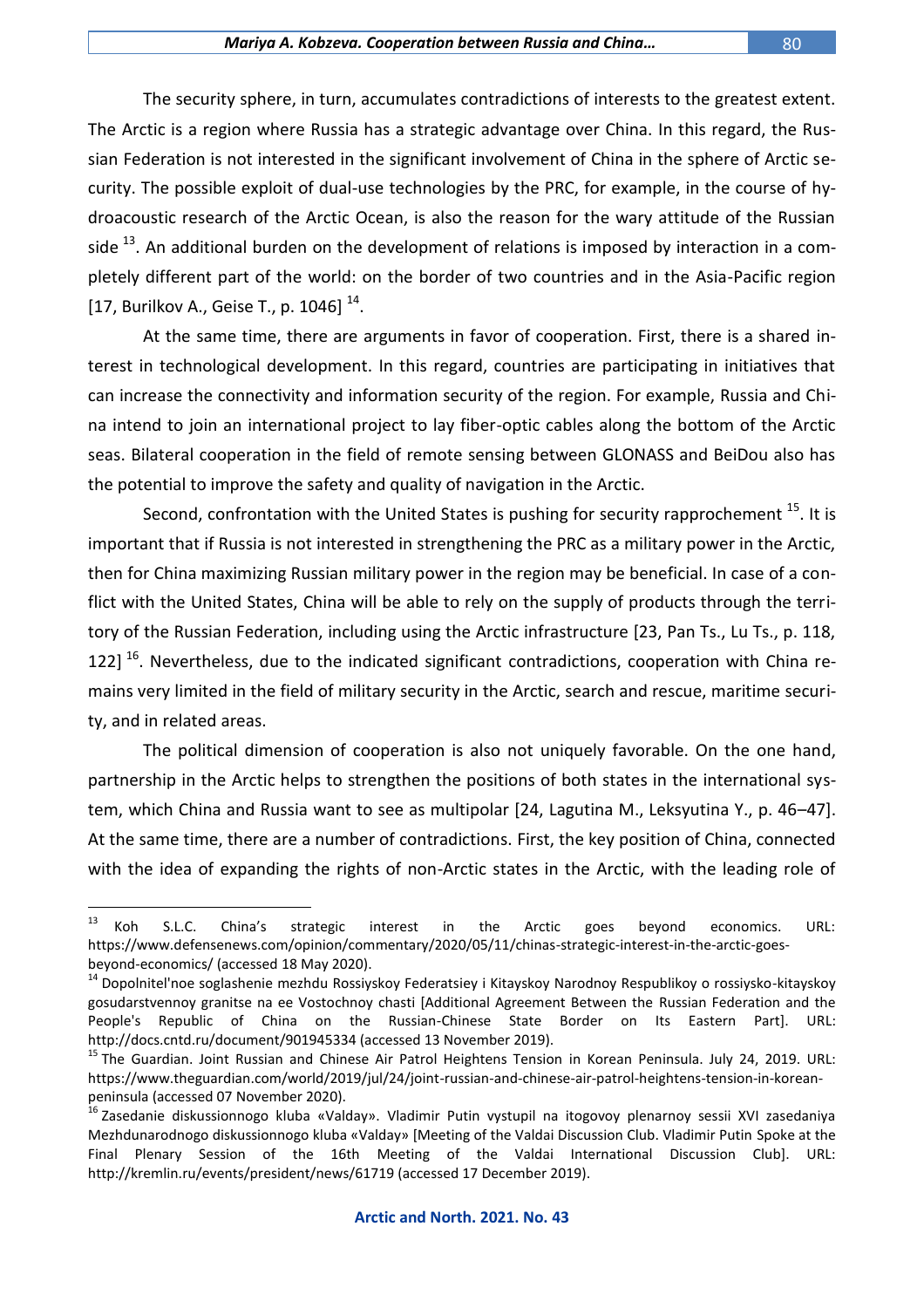The security sphere, in turn, accumulates contradictions of interests to the greatest extent. The Arctic is a region where Russia has a strategic advantage over China. In this regard, the Russian Federation is not interested in the significant involvement of China in the sphere of Arctic security. The possible exploit of dual-use technologies by the PRC, for example, in the course of hydroacoustic research of the Arctic Ocean, is also the reason for the wary attitude of the Russian side  $^{13}$ . An additional burden on the development of relations is imposed by interaction in a completely different part of the world: on the border of two countries and in the Asia-Pacific region [17, Burilkov A., Geise T., p. 1046]  $^{14}$ .

At the same time, there are arguments in favor of cooperation. First, there is a shared interest in technological development. In this regard, countries are participating in initiatives that can increase the connectivity and information security of the region. For example, Russia and China intend to join an international project to lay fiber-optic cables along the bottom of the Arctic seas. Bilateral cooperation in the field of remote sensing between GLONASS and BeiDou also has the potential to improve the safety and quality of navigation in the Arctic.

Second, confrontation with the United States is pushing for security rapprochement  $^{15}$ . It is important that if Russia is not interested in strengthening the PRC as a military power in the Arctic, then for China maximizing Russian military power in the region may be beneficial. In case of a conflict with the United States, China will be able to rely on the supply of products through the territory of the Russian Federation, including using the Arctic infrastructure [23, Pan Ts., Lu Ts., p. 118, 1221<sup>16</sup>. Nevertheless, due to the indicated significant contradictions, cooperation with China remains very limited in the field of military security in the Arctic, search and rescue, maritime security, and in related areas.

The political dimension of cooperation is also not uniquely favorable. On the one hand, partnership in the Arctic helps to strengthen the positions of both states in the international system, which China and Russia want to see as multipolar [24, Lagutina M., Leksyutina Y., p. 46–47]. At the same time, there are a number of contradictions. First, the key position of China, connected with the idea of expanding the rights of non-Arctic states in the Arctic, with the leading role of

 $13\,$  $^{13}$  Koh S.L.C. China's strategic interest in the Arctic goes beyond economics. URL: https://www.defensenews.com/opinion/commentary/2020/05/11/chinas-strategic-interest-in-the-arctic-goesbeyond-economics/ (accessed 18 May 2020).

<sup>&</sup>lt;sup>14</sup> Dopolnitel'noe soglashenie mezhdu Rossiyskoy Federatsiey i Kitayskoy Narodnoy Respublikoy o rossiysko-kitayskoy gosudarstvennoy granitse na ee Vostochnoy chasti [Additional Agreement Between the Russian Federation and the People's Republic of China on the Russian-Chinese State Border on Its Eastern Part]. URL: http://docs.cntd.ru/document/901945334 (accessed 13 November 2019).

<sup>&</sup>lt;sup>15</sup> The Guardian. Joint Russian and Chinese Air Patrol Heightens Tension in Korean Peninsula. July 24, 2019. URL: https://www.theguardian.com/world/2019/jul/24/joint-russian-and-chinese-air-patrol-heightens-tension-in-koreanpeninsula (accessed 07 November 2020).

<sup>16</sup> Zasedanie diskussionnogo kluba «Valday». Vladimir Putin vystupil na itogovoy plenarnoy sessii XVI zasedaniya Mezhdunarodnogo diskussionnogo kluba «Valday» [Meeting of the Valdai Discussion Club. Vladimir Putin Spoke at the Final Plenary Session of the 16th Meeting of the Valdai International Discussion Club]. URL: http://kremlin.ru/events/president/news/61719 (accessed 17 December 2019).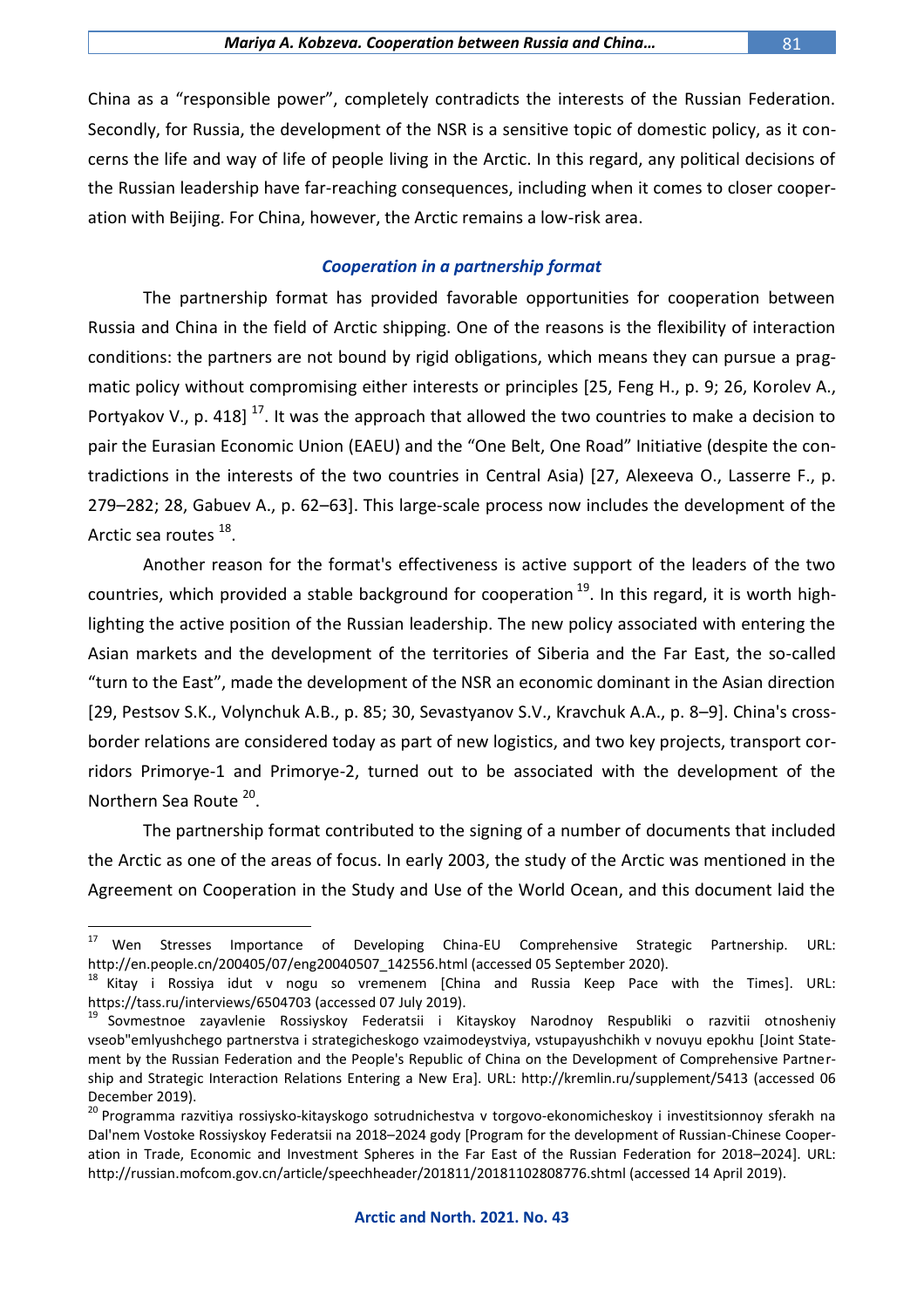China as a "responsible power", completely contradicts the interests of the Russian Federation. Secondly, for Russia, the development of the NSR is a sensitive topic of domestic policy, as it concerns the life and way of life of people living in the Arctic. In this regard, any political decisions of the Russian leadership have far-reaching consequences, including when it comes to closer cooperation with Beijing. For China, however, the Arctic remains a low-risk area.

### *Cooperation in a partnership format*

The partnership format has provided favorable opportunities for cooperation between Russia and China in the field of Arctic shipping. One of the reasons is the flexibility of interaction conditions: the partners are not bound by rigid obligations, which means they can pursue a pragmatic policy without compromising either interests or principles [25, Feng H., p. 9; 26, Korolev A., Portvakov V., p. 418]  $^{17}$ . It was the approach that allowed the two countries to make a decision to pair the Eurasian Economic Union (EAEU) and the "One Belt, One Road" Initiative (despite the contradictions in the interests of the two countries in Central Asia) [27, Alexeeva O., Lasserre F., p. 279–282; 28, Gabuev A., p. 62–63]. This large-scale process now includes the development of the Arctic sea routes <sup>18</sup>.

Another reason for the format's effectiveness is active support of the leaders of the two countries, which provided a stable background for cooperation  $19$ . In this regard, it is worth highlighting the active position of the Russian leadership. The new policy associated with entering the Asian markets and the development of the territories of Siberia and the Far East, the so-called "turn to the East", made the development of the NSR an economic dominant in the Asian direction [29, Pestsov S.K., Volynchuk A.B., p. 85; 30, Sevastyanov S.V., Kravchuk A.A., p. 8–9]. China's crossborder relations are considered today as part of new logistics, and two key projects, transport corridors Primorye-1 and Primorye-2, turned out to be associated with the development of the Northern Sea Route<sup>20</sup>.

The partnership format contributed to the signing of a number of documents that included the Arctic as one of the areas of focus. In early 2003, the study of the Arctic was mentioned in the Agreement on Cooperation in the Study and Use of the World Ocean, and this document laid the

<sup>17</sup> <sup>17</sup> Wen Stresses Importance of Developing China-EU Comprehensive Strategic Partnership. URL: http://en.people.cn/200405/07/eng20040507\_142556.html (accessed 05 September 2020).

 $18$  Kitay i Rossiya idut v nogu so vremenem [China and Russia Keep Pace with the Times]. URL: https://tass.ru/interviews/6504703 (accessed 07 July 2019).

<sup>19</sup> Sovmestnoe zayavlenie Rossiyskoy Federatsii i Kitayskoy Narodnoy Respubliki o razvitii otnosheniy vseob"emlyushchego partnerstva i strategicheskogo vzaimodeystviya, vstupayushchikh v novuyu epokhu [Joint Statement by the Russian Federation and the People's Republic of China on the Development of Comprehensive Partnership and Strategic Interaction Relations Entering a New Era]. URL: http://kremlin.ru/supplement/5413 (accessed 06 December 2019).

<sup>&</sup>lt;sup>20</sup> Programma razvitiya rossiysko-kitayskogo sotrudnichestva v torgovo-ekonomicheskoy i investitsionnoy sferakh na Dal'nem Vostoke Rossiyskoy Federatsii na 2018–2024 gody [Program for the development of Russian-Chinese Cooperation in Trade, Economic and Investment Spheres in the Far East of the Russian Federation for 2018–2024]. URL: http://russian.mofcom.gov.cn/article/speechheader/201811/20181102808776.shtml (accessed 14 April 2019).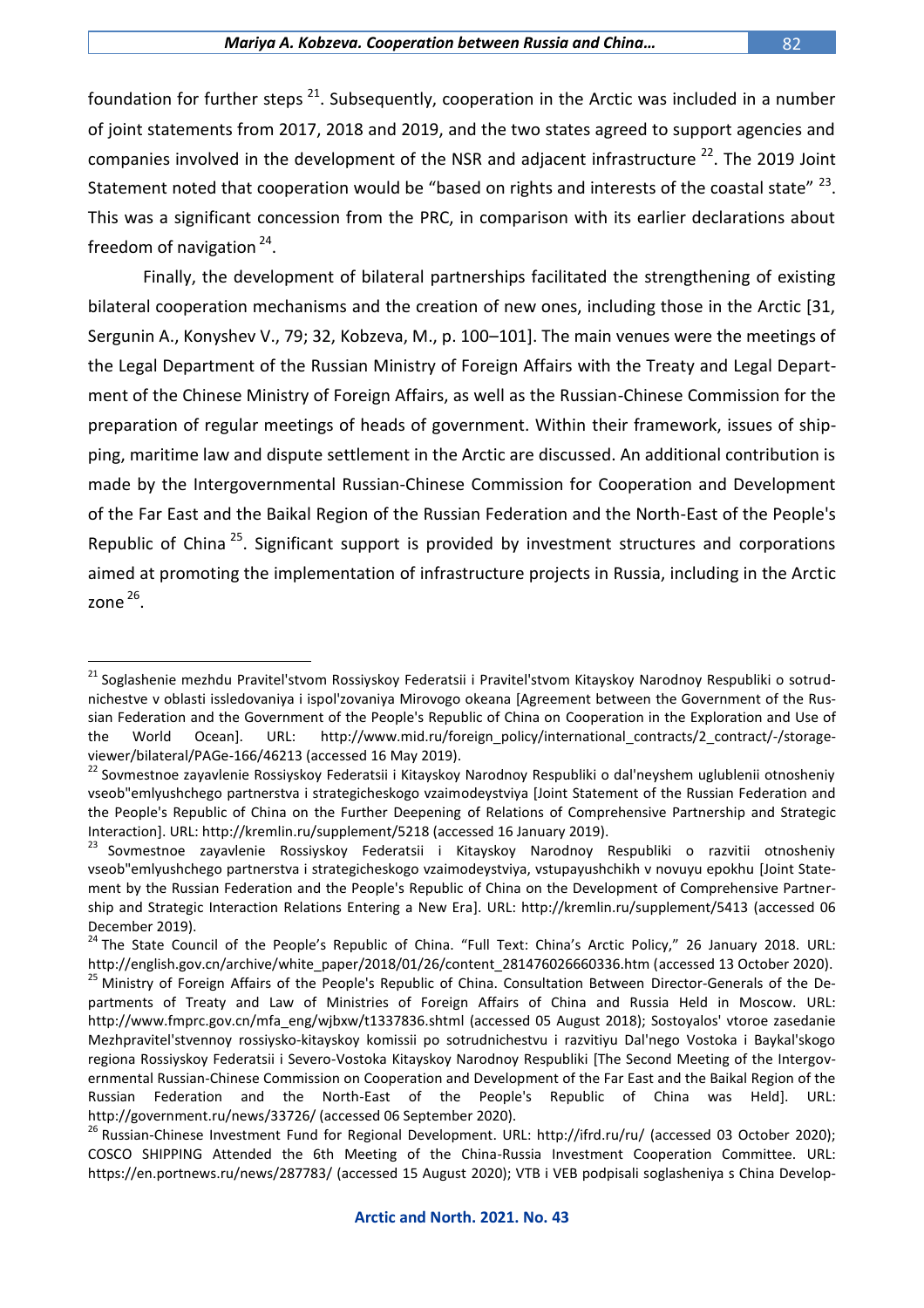foundation for further steps  $21$ . Subsequently, cooperation in the Arctic was included in a number of joint statements from 2017, 2018 and 2019, and the two states agreed to support agencies and companies involved in the development of the NSR and adjacent infrastructure  $^{22}$ . The 2019 Joint Statement noted that cooperation would be "based on rights and interests of the coastal state"  $^{23}$ .

This was a significant concession from the PRC, in comparison with its earlier declarations about freedom of navigation <sup>24</sup>.

Finally, the development of bilateral partnerships facilitated the strengthening of existing bilateral cooperation mechanisms and the creation of new ones, including those in the Arctic [31, Sergunin A., Konyshev V., 79; 32, Kobzeva, M., p. 100–101]. The main venues were the meetings of the Legal Department of the Russian Ministry of Foreign Affairs with the Treaty and Legal Department of the Chinese Ministry of Foreign Affairs, as well as the Russian-Chinese Commission for the preparation of regular meetings of heads of government. Within their framework, issues of shipping, maritime law and dispute settlement in the Arctic are discussed. An additional contribution is made by the Intergovernmental Russian-Chinese Commission for Cooperation and Development of the Far East and the Baikal Region of the Russian Federation and the North-East of the People's Republic of China<sup>25</sup>. Significant support is provided by investment structures and corporations aimed at promoting the implementation of infrastructure projects in Russia, including in the Arctic zone  $^{26}$ .

 $\overline{a}$ <sup>21</sup> Soglashenie mezhdu Pravitel'stvom Rossiyskoy Federatsii i Pravitel'stvom Kitayskoy Narodnoy Respubliki o sotrudnichestve v oblasti issledovaniya i ispol'zovaniya Mirovogo okeana [Agreement between the Government of the Russian Federation and the Government of the People's Republic of China on Cooperation in the Exploration and Use of the World Ocean]. URL: http://www.mid.ru/foreign\_policy/international\_contracts/2\_contract/-/storageviewer/bilateral/PAGe-166/46213 (accessed 16 May 2019).

<sup>&</sup>lt;sup>22</sup> Sovmestnoe zayavlenie Rossiyskoy Federatsii i Kitayskoy Narodnoy Respubliki o dal'neyshem uglublenii otnosheniy vseob"emlyushchego partnerstva i strategicheskogo vzaimodeystviya [Joint Statement of the Russian Federation and the People's Republic of China on the Further Deepening of Relations of Comprehensive Partnership and Strategic Interaction]. URL: http://kremlin.ru/supplement/5218 (accessed 16 January 2019).

<sup>&</sup>lt;sup>23</sup> Sovmestnoe zayavlenie Rossiyskoy Federatsii i Kitayskoy Narodnoy Respubliki o razvitii otnosheniy vseob"emlyushchego partnerstva i strategicheskogo vzaimodeystviya, vstupayushchikh v novuyu epokhu [Joint Statement by the Russian Federation and the People's Republic of China on the Development of Comprehensive Partnership and Strategic Interaction Relations Entering a New Era]. URL: http://kremlin.ru/supplement/5413 (accessed 06 December 2019).

<sup>&</sup>lt;sup>24</sup> The State Council of the People's Republic of China. "Full Text: China's Arctic Policy," 26 January 2018. URL: http://english.gov.cn/archive/white\_paper/2018/01/26/content\_281476026660336.htm (accessed 13 October 2020).

<sup>&</sup>lt;sup>25</sup> Ministry of Foreign Affairs of the People's Republic of China. Consultation Between Director-Generals of the Departments of Treaty and Law of Ministries of Foreign Affairs of China and Russia Held in Moscow. URL: http://www.fmprc.gov.cn/mfa\_eng/wjbxw/t1337836.shtml (accessed 05 August 2018); Sostoyalos' vtoroe zasedanie Mezhpravitel'stvennoy rossiysko-kitayskoy komissii po sotrudnichestvu i razvitiyu Dal'nego Vostoka i Baykal'skogo regiona Rossiyskoy Federatsii i Severo-Vostoka Kitayskoy Narodnoy Respubliki [The Second Meeting of the Intergovernmental Russian-Chinese Commission on Cooperation and Development of the Far East and the Baikal Region of the Russian Federation and the North-East of the People's Republic of China was Held]. URL: http://government.ru/news/33726/ (accessed 06 September 2020).

<sup>&</sup>lt;sup>26</sup> Russian-Chinese Investment Fund for Regional Development. URL: http://ifrd.ru/ru/ (accessed 03 October 2020); COSCO SHIPPING Attended the 6th Meeting of the China-Russia Investment Cooperation Committee. URL: https://en.portnews.ru/news/287783/ (accessed 15 August 2020); VTB i VEB podpisali soglasheniya s China Develop-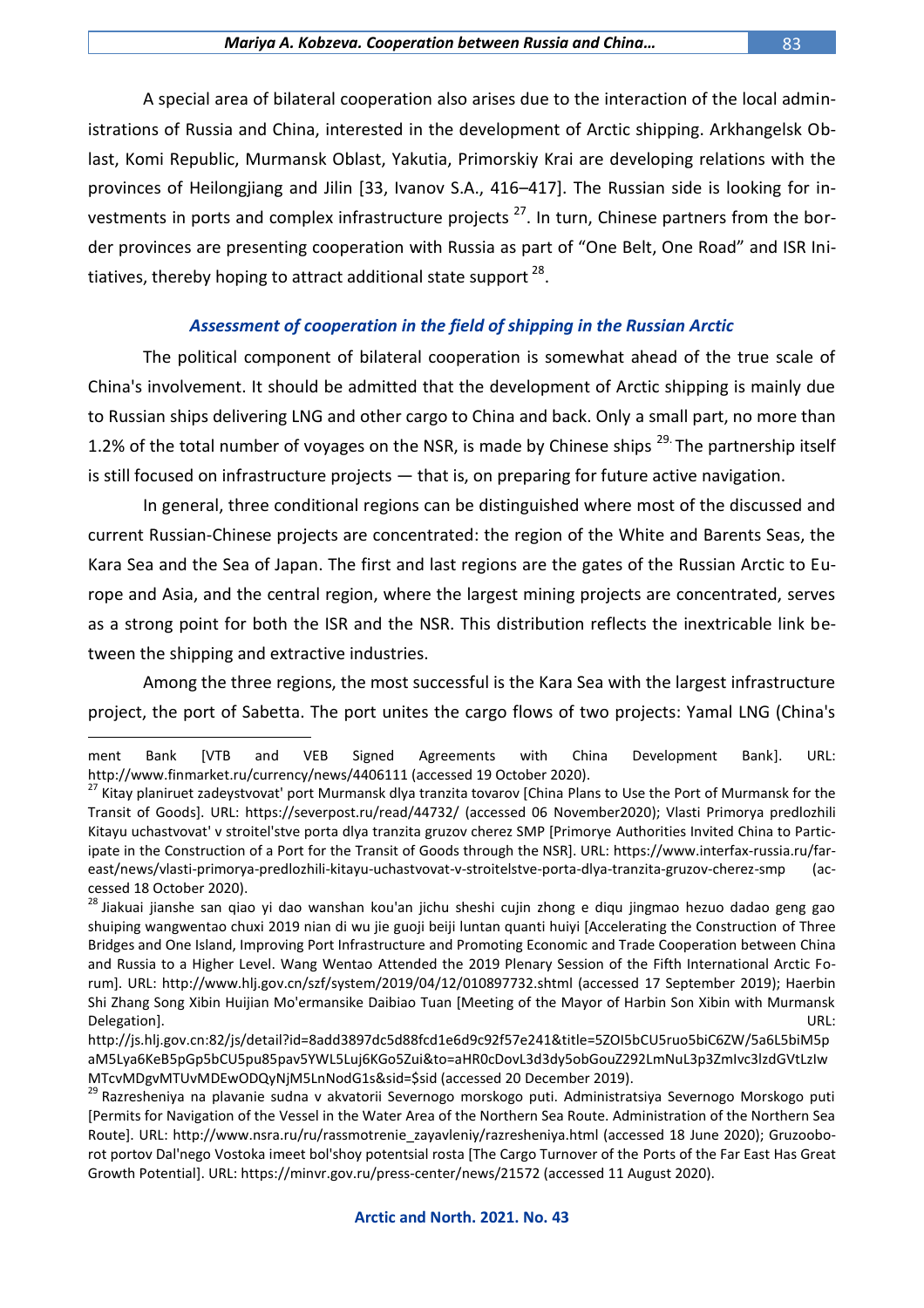A special area of bilateral cooperation also arises due to the interaction of the local administrations of Russia and China, interested in the development of Arctic shipping. Arkhangelsk Oblast, Komi Republic, Murmansk Oblast, Yakutia, Primorskiy Krai are developing relations with the provinces of Heilongjiang and Jilin [33, Ivanov S.A., 416–417]. The Russian side is looking for investments in ports and complex infrastructure projects<sup>27</sup>. In turn, Chinese partners from the border provinces are presenting cooperation with Russia as part of "One Belt, One Road" and ISR Initiatives, thereby hoping to attract additional state support <sup>28</sup>.

### *Assessment of cooperation in the field of shipping in the Russian Arctic*

The political component of bilateral cooperation is somewhat ahead of the true scale of China's involvement. It should be admitted that the development of Arctic shipping is mainly due to Russian ships delivering LNG and other cargo to China and back. Only a small part, no more than 1.2% of the total number of voyages on the NSR, is made by Chinese ships <sup>29.</sup> The partnership itself is still focused on infrastructure projects — that is, on preparing for future active navigation.

In general, three conditional regions can be distinguished where most of the discussed and current Russian-Chinese projects are concentrated: the region of the White and Barents Seas, the Kara Sea and the Sea of Japan. The first and last regions are the gates of the Russian Arctic to Europe and Asia, and the central region, where the largest mining projects are concentrated, serves as a strong point for both the ISR and the NSR. This distribution reflects the inextricable link between the shipping and extractive industries.

Among the three regions, the most successful is the Kara Sea with the largest infrastructure project, the port of Sabetta. The port unites the cargo flows of two projects: Yamal LNG (China's

ment Bank [VTB and VEB Signed Agreements with China Development Bank]. URL: http://www.finmarket.ru/currency/news/4406111 (accessed 19 October 2020).

<sup>&</sup>lt;sup>27</sup> Kitay planiruet zadeystvovat' port Murmansk dlya tranzita tovarov [China Plans to Use the Port of Murmansk for the Transit of Goods]. URL: https://severpost.ru/read/44732/ (accessed 06 November2020); Vlasti Primorya predlozhili Kitayu uchastvovat' v stroitel'stve porta dlya tranzita gruzov cherez SMP [Primorye Authorities Invited China to Participate in the Construction of a Port for the Transit of Goods through the NSR]. URL: https://www.interfax-russia.ru/fareast/news/vlasti-primorya-predlozhili-kitayu-uchastvovat-v-stroitelstve-porta-dlya-tranzita-gruzov-cherez-smp (accessed 18 October 2020).

<sup>&</sup>lt;sup>28</sup> Jiakuai jianshe san qiao yi dao wanshan kou'an jichu sheshi cujin zhong e diqu jingmao hezuo dadao geng gao shuiping wangwentao chuxi 2019 nian di wu jie guoji beiji luntan quanti huiyi [Accelerating the Construction of Three Bridges and One Island, Improving Port Infrastructure and Promoting Economic and Trade Cooperation between China and Russia to a Higher Level. Wang Wentao Attended the 2019 Plenary Session of the Fifth International Arctic Forum]. URL: http://www.hlj.gov.cn/szf/system/2019/04/12/010897732.shtml (accessed 17 September 2019); Haerbin Shi Zhang Song Xibin Huijian Mo'ermansike Daibiao Tuan [Meeting of the Mayor of Harbin Son Xibin with Murmansk Delegation]. URL:

http://js.hlj.gov.cn:82/js/detail?id=8add3897dc5d88fcd1e6d9c92f57e241&title=5ZOI5bCU5ruo5biC6ZW/5a6L5biM5p aM5Lya6KeB5pGp5bCU5pu85pav5YWL5Luj6KGo5Zui&to=aHR0cDovL3d3dy5obGouZ292LmNuL3p3ZmIvc3lzdGVtLzIw MTcvMDgvMTUvMDEwODQyNjM5LnNodG1s&sid=\$sid (accessed 20 December 2019).

<sup>&</sup>lt;sup>29</sup> Razresheniya na plavanie sudna v akvatorii Severnogo morskogo puti. Administratsiya Severnogo Morskogo puti [Permits for Navigation of the Vessel in the Water Area of the Northern Sea Route. Administration of the Northern Sea Route]. URL: http://www.nsra.ru/ru/rassmotrenie\_zayavleniy/razresheniya.html (accessed 18 June 2020); Gruzooborot portov Dal'nego Vostoka imeet bol'shoy potentsial rosta [The Cargo Turnover of the Ports of the Far East Has Great Growth Potential]. URL: https://minvr.gov.ru/press-center/news/21572 (accessed 11 August 2020).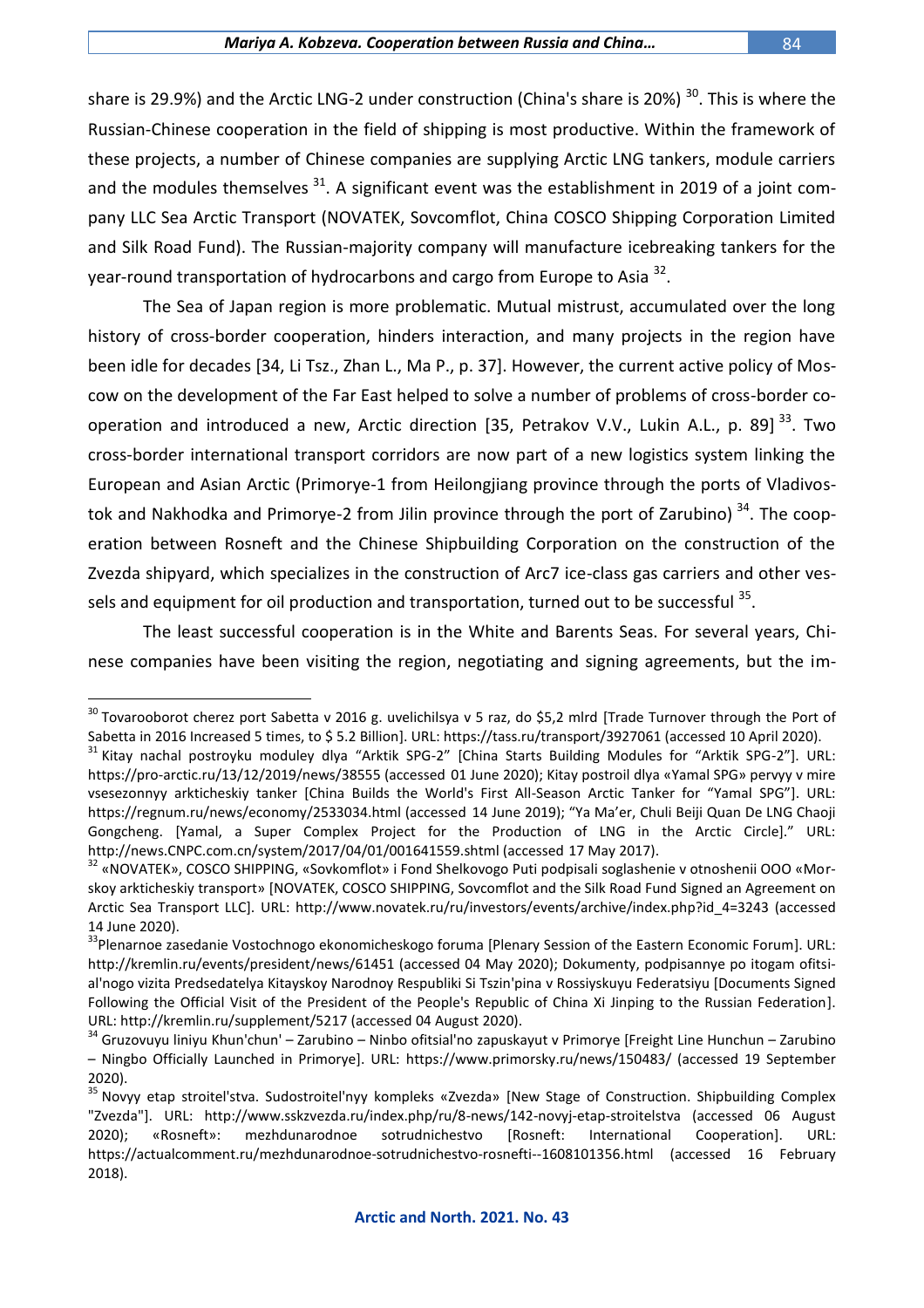share is 29.9%) and the Arctic LNG-2 under construction (China's share is 20%)  $^{30}$ . This is where the Russian-Chinese cooperation in the field of shipping is most productive. Within the framework of these projects, a number of Chinese companies are supplying Arctic LNG tankers, module carriers and the modules themselves  $31$ . A significant event was the establishment in 2019 of a joint company LLC Sea Arctic Transport (NOVATEK, Sovcomflot, China COSCO Shipping Corporation Limited and Silk Road Fund). The Russian-majority company will manufacture icebreaking tankers for the year-round transportation of hydrocarbons and cargo from Europe to Asia <sup>32</sup>.

The Sea of Japan region is more problematic. Mutual mistrust, accumulated over the long history of cross-border cooperation, hinders interaction, and many projects in the region have been idle for decades [34, Li Tsz., Zhan L., Ma P., p. 37]. However, the current active policy of Moscow on the development of the Far East helped to solve a number of problems of cross-border cooperation and introduced a new, Arctic direction [35, Petrakov V.V., Lukin A.L., p. 89]<sup>33</sup>. Two cross-border international transport corridors are now part of a new logistics system linking the European and Asian Arctic (Primorye-1 from Heilongjiang province through the ports of Vladivostok and Nakhodka and Primorye-2 from Jilin province through the port of Zarubino)  $34$ . The cooperation between Rosneft and the Chinese Shipbuilding Corporation on the construction of the Zvezda shipyard, which specializes in the construction of Arc7 ice-class gas carriers and other vessels and equipment for oil production and transportation, turned out to be successful <sup>35</sup>.

The least successful cooperation is in the White and Barents Seas. For several years, Chinese companies have been visiting the region, negotiating and signing agreements, but the im-

 $^{30}$  Tovarooborot cherez port Sabetta v 2016 g. uvelichilsya v 5 raz, do \$5,2 mlrd [Trade Turnover through the Port of Sabetta in 2016 Increased 5 times, to \$ 5.2 Billion]. URL: https://tass.ru/transport/3927061 (accessed 10 April 2020).

<sup>&</sup>lt;sup>31</sup> Kitay nachal postroyku moduley dlya "Arktik SPG-2" [China Starts Building Modules for "Arktik SPG-2"]. URL: https://pro-arctic.ru/13/12/2019/news/38555 (accessed 01 June 2020); Kitay postroil dlya «Yamal SPG» pervyy v mire vsesezonnyy arkticheskiy tanker [China Builds the World's First All-Season Arctic Tanker for "Yamal SPG"]. URL: https://regnum.ru/news/economy/2533034.html (accessed 14 June 2019); "Ya Ma'er, Chuli Beiji Quan De LNG Chaoji Gongcheng. [Yamal, a Super Complex Project for the Production of LNG in the Arctic Circle]." URL: http://news.CNPC.com.cn/system/2017/04/01/001641559.shtml (accessed 17 May 2017).

<sup>&</sup>lt;sup>32</sup> «NOVATEK», COSCO SHIPPING, «Sovkomflot» i Fond Shelkovogo Puti podpisali soglashenie v otnoshenii OOO «Morskoy arkticheskiy transport» [NOVATEK, COSCO SHIPPING, Sovcomflot and the Silk Road Fund Signed an Agreement on Arctic Sea Transport LLC]. URL: http://www.novatek.ru/ru/investors/events/archive/index.php?id\_4=3243 (accessed 14 June 2020).

<sup>&</sup>lt;sup>33</sup>Plenarnoe zasedanie Vostochnogo ekonomicheskogo foruma [Plenary Session of the Eastern Economic Forum]. URL: http://kremlin.ru/events/president/news/61451 (accessed 04 May 2020); Dokumenty, podpisannye po itogam ofitsial'nogo vizita Predsedatelya Kitayskoy Narodnoy Respubliki Si Tszin'pina v Rossiyskuyu Federatsiyu [Documents Signed Following the Official Visit of the President of the People's Republic of China Xi Jinping to the Russian Federation]. URL: http://kremlin.ru/supplement/5217 (accessed 04 August 2020).

<sup>34</sup> Gruzovuyu liniyu Khun'chun' – Zarubino – Ninbo ofitsial'no zapuskayut v Primorye [Freight Line Hunchun – Zarubino – Ningbo Officially Launched in Primorye]. URL: https://www.primorsky.ru/news/150483/ (accessed 19 September 2020).

<sup>&</sup>lt;sup>35</sup> Novyy etap stroitel'stva. Sudostroitel'nyy kompleks «Zvezda» [New Stage of Construction. Shipbuilding Complex "Zvezda"]. URL: http://www.sskzvezda.ru/index.php/ru/8-news/142-novyj-etap-stroitelstva (accessed 06 August 2020); «Rosneft»: mezhdunarodnoe sotrudnichestvo [Rosneft: International Cooperation]. URL: https://actualcomment.ru/mezhdunarodnoe-sotrudnichestvo-rosnefti--1608101356.html (accessed 16 February 2018).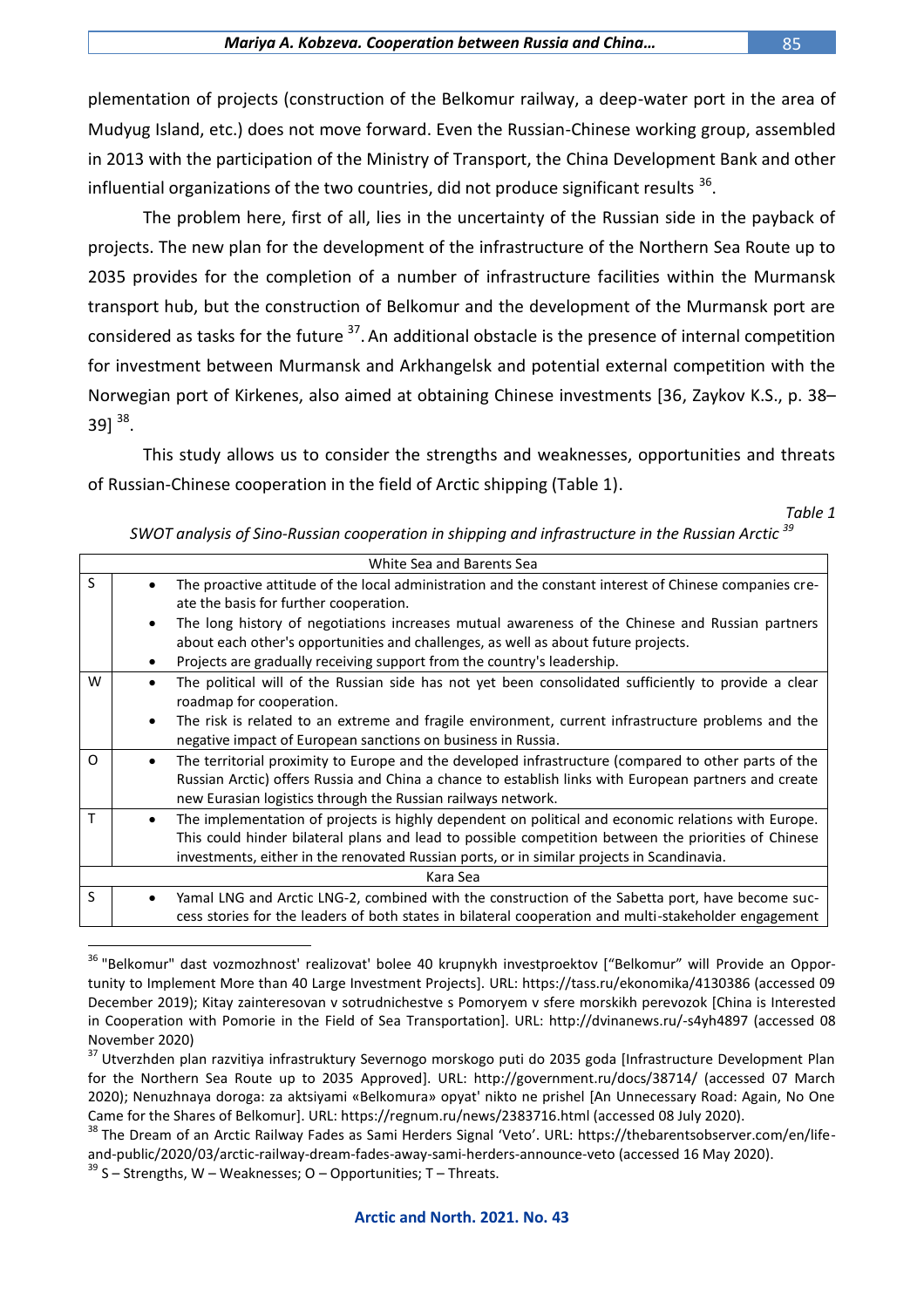plementation of projects (construction of the Belkomur railway, a deep-water port in the area of Mudyug Island, etc.) does not move forward. Even the Russian-Chinese working group, assembled in 2013 with the participation of the Ministry of Transport, the China Development Bank and other influential organizations of the two countries, did not produce significant results  $^{36}$ .

The problem here, first of all, lies in the uncertainty of the Russian side in the payback of projects. The new plan for the development of the infrastructure of the Northern Sea Route up to 2035 provides for the completion of a number of infrastructure facilities within the Murmansk transport hub, but the construction of Belkomur and the development of the Murmansk port are considered as tasks for the future <sup>37</sup>. An additional obstacle is the presence of internal competition for investment between Murmansk and Arkhangelsk and potential external competition with the Norwegian port of Kirkenes, also aimed at obtaining Chinese investments [36, Zaykov K.S., p. 38– 39]  $^{38}$ .

This study allows us to consider the strengths and weaknesses, opportunities and threats of Russian-Chinese cooperation in the field of Arctic shipping (Table 1).

*Table 1*

|  | SWOT analysis of Sino-Russian cooperation in shipping and infrastructure in the Russian Arctic $^{\rm 39}$ |
|--|------------------------------------------------------------------------------------------------------------|
|--|------------------------------------------------------------------------------------------------------------|

|          | White Sea and Barents Sea |                                                                                                        |  |
|----------|---------------------------|--------------------------------------------------------------------------------------------------------|--|
| S        |                           | The proactive attitude of the local administration and the constant interest of Chinese companies cre- |  |
|          |                           | ate the basis for further cooperation.                                                                 |  |
|          |                           | The long history of negotiations increases mutual awareness of the Chinese and Russian partners        |  |
|          |                           | about each other's opportunities and challenges, as well as about future projects.                     |  |
|          | ٠                         | Projects are gradually receiving support from the country's leadership.                                |  |
| W        |                           | The political will of the Russian side has not yet been consolidated sufficiently to provide a clear   |  |
|          |                           | roadmap for cooperation.                                                                               |  |
|          | $\bullet$                 | The risk is related to an extreme and fragile environment, current infrastructure problems and the     |  |
|          |                           | negative impact of European sanctions on business in Russia.                                           |  |
| $\Omega$ |                           | The territorial proximity to Europe and the developed infrastructure (compared to other parts of the   |  |
|          |                           | Russian Arctic) offers Russia and China a chance to establish links with European partners and create  |  |
|          |                           | new Eurasian logistics through the Russian railways network.                                           |  |
| т        |                           | The implementation of projects is highly dependent on political and economic relations with Europe.    |  |
|          |                           | This could hinder bilateral plans and lead to possible competition between the priorities of Chinese   |  |
|          |                           | investments, either in the renovated Russian ports, or in similar projects in Scandinavia.             |  |
| Kara Sea |                           |                                                                                                        |  |
| S        |                           | Yamal LNG and Arctic LNG-2, combined with the construction of the Sabetta port, have become suc-       |  |
|          |                           | cess stories for the leaders of both states in bilateral cooperation and multi-stakeholder engagement  |  |
|          |                           |                                                                                                        |  |
|          |                           |                                                                                                        |  |

<sup>&</sup>lt;sup>36</sup> "Belkomur" dast vozmozhnost' realizovat' bolee 40 krupnykh investproektov ["Belkomur" will Provide an Opportunity to Implement More than 40 Large Investment Projects]. URL: https://tass.ru/ekonomika/4130386 (accessed 09 December 2019); Kitay zainteresovan v sotrudnichestve s Pomoryem v sfere morskikh perevozok [China is Interested in Cooperation with Pomorie in the Field of Sea Transportation]. URL: http://dvinanews.ru/-s4yh4897 (accessed 08 November 2020)

<sup>&</sup>lt;sup>37</sup> Utverzhden plan razvitiya infrastruktury Severnogo morskogo puti do 2035 goda [Infrastructure Development Plan for the Northern Sea Route up to 2035 Approved]. URL: http://government.ru/docs/38714/ (accessed 07 March 2020); Nenuzhnaya doroga: za aktsiyami «Belkomura» opyat' nikto ne prishel [An Unnecessary Road: Again, No One Came for the Shares of Belkomur]. URL: https://regnum.ru/news/2383716.html (accessed 08 July 2020).

<sup>&</sup>lt;sup>38</sup> The Dream of an Arctic Railway Fades as Sami Herders Signal 'Veto'. URL: https://thebarentsobserver.com/en/lifeand-public/2020/03/arctic-railway-dream-fades-away-sami-herders-announce-veto (accessed 16 May 2020).

 $39$  S – Strengths, W – Weaknesses; O – Opportunities; T – Threats.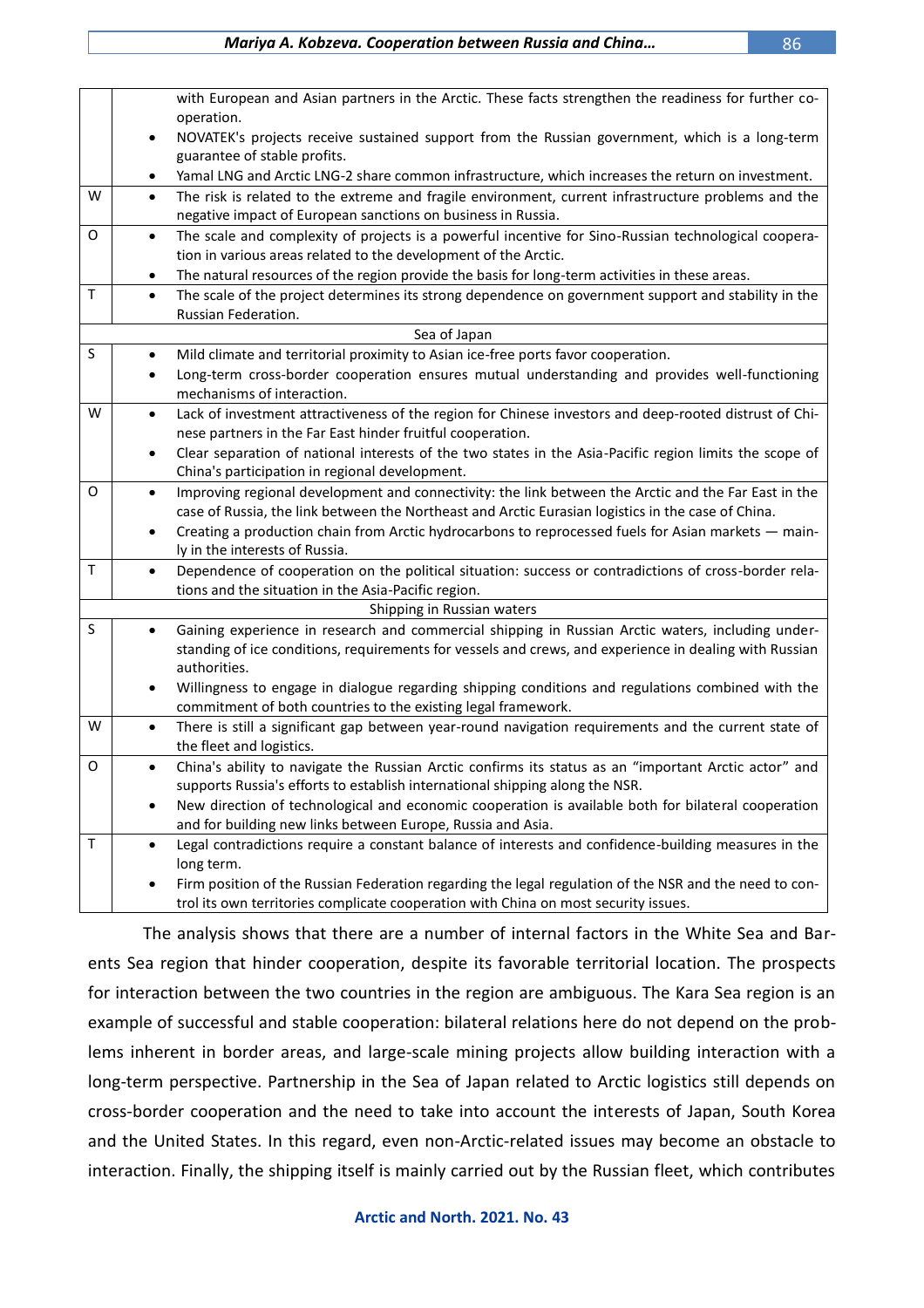|                            | with European and Asian partners in the Arctic. These facts strengthen the readiness for further co-                                                                                                                    |  |  |
|----------------------------|-------------------------------------------------------------------------------------------------------------------------------------------------------------------------------------------------------------------------|--|--|
|                            | operation.                                                                                                                                                                                                              |  |  |
|                            | NOVATEK's projects receive sustained support from the Russian government, which is a long-term<br>$\bullet$                                                                                                             |  |  |
|                            | guarantee of stable profits.<br>Yamal LNG and Arctic LNG-2 share common infrastructure, which increases the return on investment.<br>٠                                                                                  |  |  |
| W                          | $\bullet$                                                                                                                                                                                                               |  |  |
|                            | The risk is related to the extreme and fragile environment, current infrastructure problems and the<br>negative impact of European sanctions on business in Russia.                                                     |  |  |
| 0                          | The scale and complexity of projects is a powerful incentive for Sino-Russian technological coopera-<br>$\bullet$                                                                                                       |  |  |
|                            | tion in various areas related to the development of the Arctic.                                                                                                                                                         |  |  |
|                            | The natural resources of the region provide the basis for long-term activities in these areas.<br>٠                                                                                                                     |  |  |
| T.                         | The scale of the project determines its strong dependence on government support and stability in the<br>$\bullet$                                                                                                       |  |  |
|                            | Russian Federation.                                                                                                                                                                                                     |  |  |
|                            | Sea of Japan                                                                                                                                                                                                            |  |  |
| $\sf S$                    | Mild climate and territorial proximity to Asian ice-free ports favor cooperation.<br>$\bullet$                                                                                                                          |  |  |
|                            | Long-term cross-border cooperation ensures mutual understanding and provides well-functioning                                                                                                                           |  |  |
|                            | mechanisms of interaction.                                                                                                                                                                                              |  |  |
| W                          | Lack of investment attractiveness of the region for Chinese investors and deep-rooted distrust of Chi-<br>$\bullet$                                                                                                     |  |  |
|                            | nese partners in the Far East hinder fruitful cooperation.                                                                                                                                                              |  |  |
|                            | Clear separation of national interests of the two states in the Asia-Pacific region limits the scope of<br>$\bullet$                                                                                                    |  |  |
|                            | China's participation in regional development.                                                                                                                                                                          |  |  |
| 0                          | Improving regional development and connectivity: the link between the Arctic and the Far East in the<br>$\bullet$<br>case of Russia, the link between the Northeast and Arctic Eurasian logistics in the case of China. |  |  |
|                            | Creating a production chain from Arctic hydrocarbons to reprocessed fuels for Asian markets - main-                                                                                                                     |  |  |
|                            | ly in the interests of Russia.                                                                                                                                                                                          |  |  |
| $\mathsf T$                | Dependence of cooperation on the political situation: success or contradictions of cross-border rela-<br>$\bullet$                                                                                                      |  |  |
|                            | tions and the situation in the Asia-Pacific region.                                                                                                                                                                     |  |  |
| Shipping in Russian waters |                                                                                                                                                                                                                         |  |  |
| S                          | Gaining experience in research and commercial shipping in Russian Arctic waters, including under-<br>$\bullet$                                                                                                          |  |  |
|                            | standing of ice conditions, requirements for vessels and crews, and experience in dealing with Russian                                                                                                                  |  |  |
|                            | authorities.                                                                                                                                                                                                            |  |  |
|                            | Willingness to engage in dialogue regarding shipping conditions and regulations combined with the<br>$\bullet$                                                                                                          |  |  |
|                            | commitment of both countries to the existing legal framework.                                                                                                                                                           |  |  |
| W                          | There is still a significant gap between year-round navigation requirements and the current state of<br>$\bullet$                                                                                                       |  |  |
|                            | the fleet and logistics.                                                                                                                                                                                                |  |  |
| 0                          | China's ability to navigate the Russian Arctic confirms its status as an "important Arctic actor" and<br>$\bullet$<br>supports Russia's efforts to establish international shipping along the NSR.                      |  |  |
|                            | New direction of technological and economic cooperation is available both for bilateral cooperation                                                                                                                     |  |  |
|                            | and for building new links between Europe, Russia and Asia.                                                                                                                                                             |  |  |
| Τ                          | Legal contradictions require a constant balance of interests and confidence-building measures in the<br>$\bullet$                                                                                                       |  |  |
|                            | long term.                                                                                                                                                                                                              |  |  |
|                            | Firm position of the Russian Federation regarding the legal regulation of the NSR and the need to con-<br>٠                                                                                                             |  |  |
|                            | trol its own territories complicate cooperation with China on most security issues.                                                                                                                                     |  |  |

The analysis shows that there are a number of internal factors in the White Sea and Barents Sea region that hinder cooperation, despite its favorable territorial location. The prospects for interaction between the two countries in the region are ambiguous. The Kara Sea region is an example of successful and stable cooperation: bilateral relations here do not depend on the problems inherent in border areas, and large-scale mining projects allow building interaction with a long-term perspective. Partnership in the Sea of Japan related to Arctic logistics still depends on cross-border cooperation and the need to take into account the interests of Japan, South Korea and the United States. In this regard, even non-Arctic-related issues may become an obstacle to interaction. Finally, the shipping itself is mainly carried out by the Russian fleet, which contributes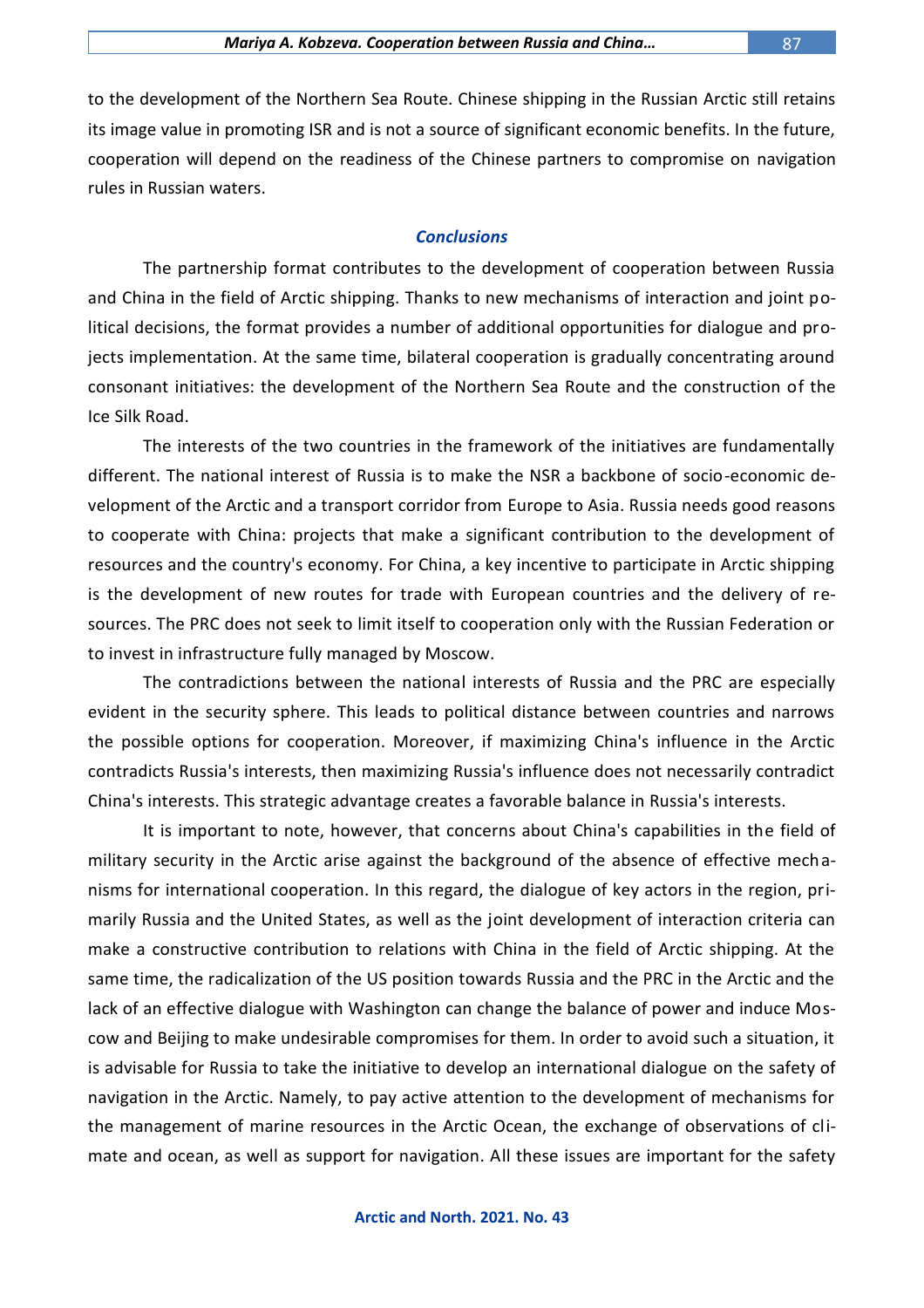to the development of the Northern Sea Route. Chinese shipping in the Russian Arctic still retains its image value in promoting ISR and is not a source of significant economic benefits. In the future, cooperation will depend on the readiness of the Chinese partners to compromise on navigation rules in Russian waters.

#### *Conclusions*

The partnership format contributes to the development of cooperation between Russia and China in the field of Arctic shipping. Thanks to new mechanisms of interaction and joint political decisions, the format provides a number of additional opportunities for dialogue and projects implementation. At the same time, bilateral cooperation is gradually concentrating around consonant initiatives: the development of the Northern Sea Route and the construction of the Ice Silk Road.

The interests of the two countries in the framework of the initiatives are fundamentally different. The national interest of Russia is to make the NSR a backbone of socio-economic development of the Arctic and a transport corridor from Europe to Asia. Russia needs good reasons to cooperate with China: projects that make a significant contribution to the development of resources and the country's economy. For China, a key incentive to participate in Arctic shipping is the development of new routes for trade with European countries and the delivery of resources. The PRC does not seek to limit itself to cooperation only with the Russian Federation or to invest in infrastructure fully managed by Moscow.

The contradictions between the national interests of Russia and the PRC are especially evident in the security sphere. This leads to political distance between countries and narrows the possible options for cooperation. Moreover, if maximizing China's influence in the Arctic contradicts Russia's interests, then maximizing Russia's influence does not necessarily contradict China's interests. This strategic advantage creates a favorable balance in Russia's interests.

It is important to note, however, that concerns about China's capabilities in the field of military security in the Arctic arise against the background of the absence of effective mechanisms for international cooperation. In this regard, the dialogue of key actors in the region, primarily Russia and the United States, as well as the joint development of interaction criteria can make a constructive contribution to relations with China in the field of Arctic shipping. At the same time, the radicalization of the US position towards Russia and the PRC in the Arctic and the lack of an effective dialogue with Washington can change the balance of power and induce Moscow and Beijing to make undesirable compromises for them. In order to avoid such a situation, it is advisable for Russia to take the initiative to develop an international dialogue on the safety of navigation in the Arctic. Namely, to pay active attention to the development of mechanisms for the management of marine resources in the Arctic Ocean, the exchange of observations of climate and ocean, as well as support for navigation. All these issues are important for the safety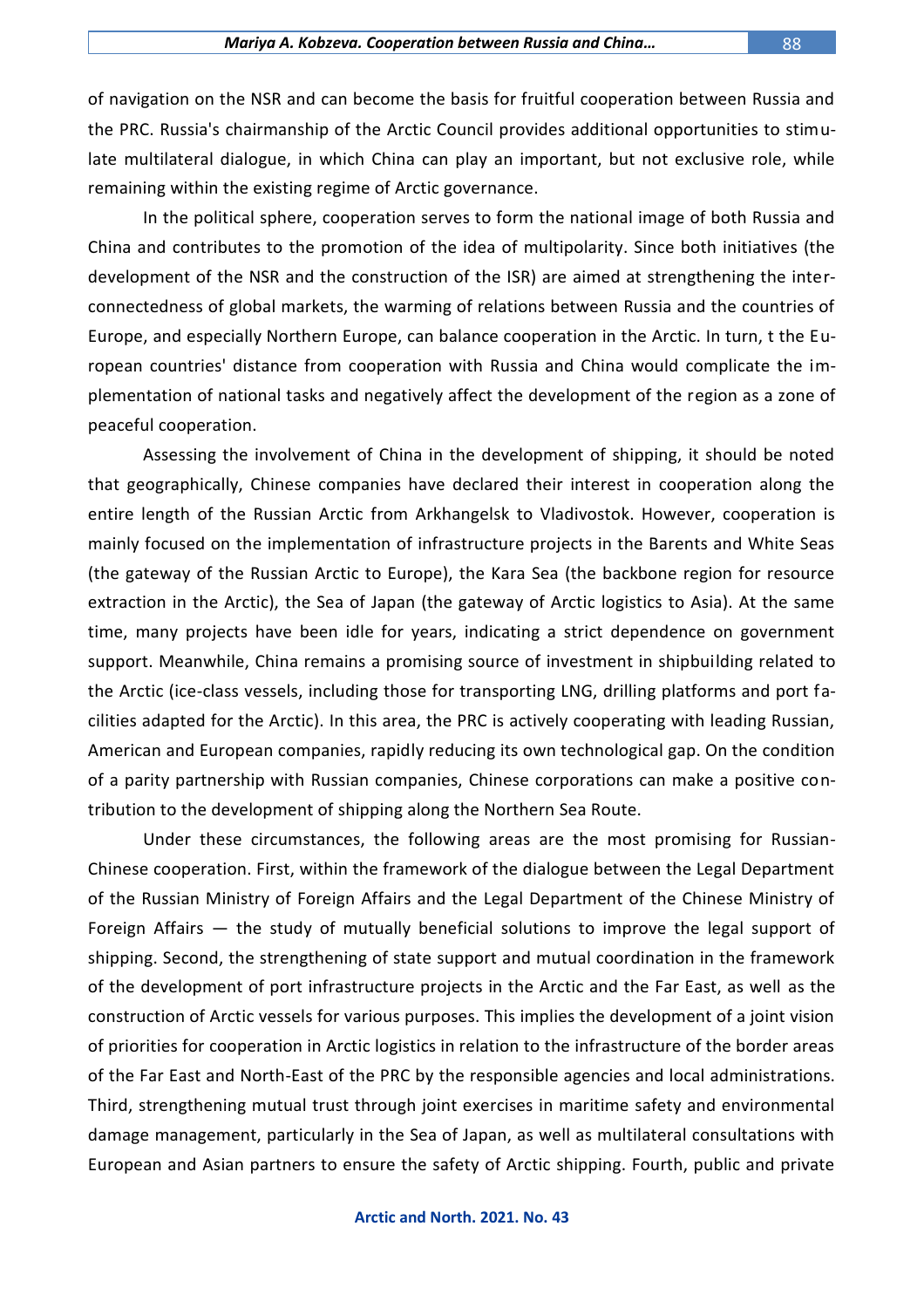of navigation on the NSR and can become the basis for fruitful cooperation between Russia and the PRC. Russia's chairmanship of the Arctic Council provides additional opportunities to stimulate multilateral dialogue, in which China can play an important, but not exclusive role, while remaining within the existing regime of Arctic governance.

In the political sphere, cooperation serves to form the national image of both Russia and China and contributes to the promotion of the idea of multipolarity. Since both initiatives (the development of the NSR and the construction of the ISR) are aimed at strengthening the interconnectedness of global markets, the warming of relations between Russia and the countries of Europe, and especially Northern Europe, can balance cooperation in the Arctic. In turn, t the European countries' distance from cooperation with Russia and China would complicate the implementation of national tasks and negatively affect the development of the region as a zone of peaceful cooperation.

Assessing the involvement of China in the development of shipping, it should be noted that geographically, Chinese companies have declared their interest in cooperation along the entire length of the Russian Arctic from Arkhangelsk to Vladivostok. However, cooperation is mainly focused on the implementation of infrastructure projects in the Barents and White Seas (the gateway of the Russian Arctic to Europe), the Kara Sea (the backbone region for resource extraction in the Arctic), the Sea of Japan (the gateway of Arctic logistics to Asia). At the same time, many projects have been idle for years, indicating a strict dependence on government support. Meanwhile, China remains a promising source of investment in shipbuilding related to the Arctic (ice-class vessels, including those for transporting LNG, drilling platforms and port facilities adapted for the Arctic). In this area, the PRC is actively cooperating with leading Russian, American and European companies, rapidly reducing its own technological gap. On the condition of a parity partnership with Russian companies, Chinese corporations can make a positive contribution to the development of shipping along the Northern Sea Route.

Under these circumstances, the following areas are the most promising for Russian-Chinese cooperation. First, within the framework of the dialogue between the Legal Department of the Russian Ministry of Foreign Affairs and the Legal Department of the Chinese Ministry of Foreign Affairs — the study of mutually beneficial solutions to improve the legal support of shipping. Second, the strengthening of state support and mutual coordination in the framework of the development of port infrastructure projects in the Arctic and the Far East, as well as the construction of Arctic vessels for various purposes. This implies the development of a joint vision of priorities for cooperation in Arctic logistics in relation to the infrastructure of the border areas of the Far East and North-East of the PRC by the responsible agencies and local administrations. Third, strengthening mutual trust through joint exercises in maritime safety and environmental damage management, particularly in the Sea of Japan, as well as multilateral consultations with European and Asian partners to ensure the safety of Arctic shipping. Fourth, public and private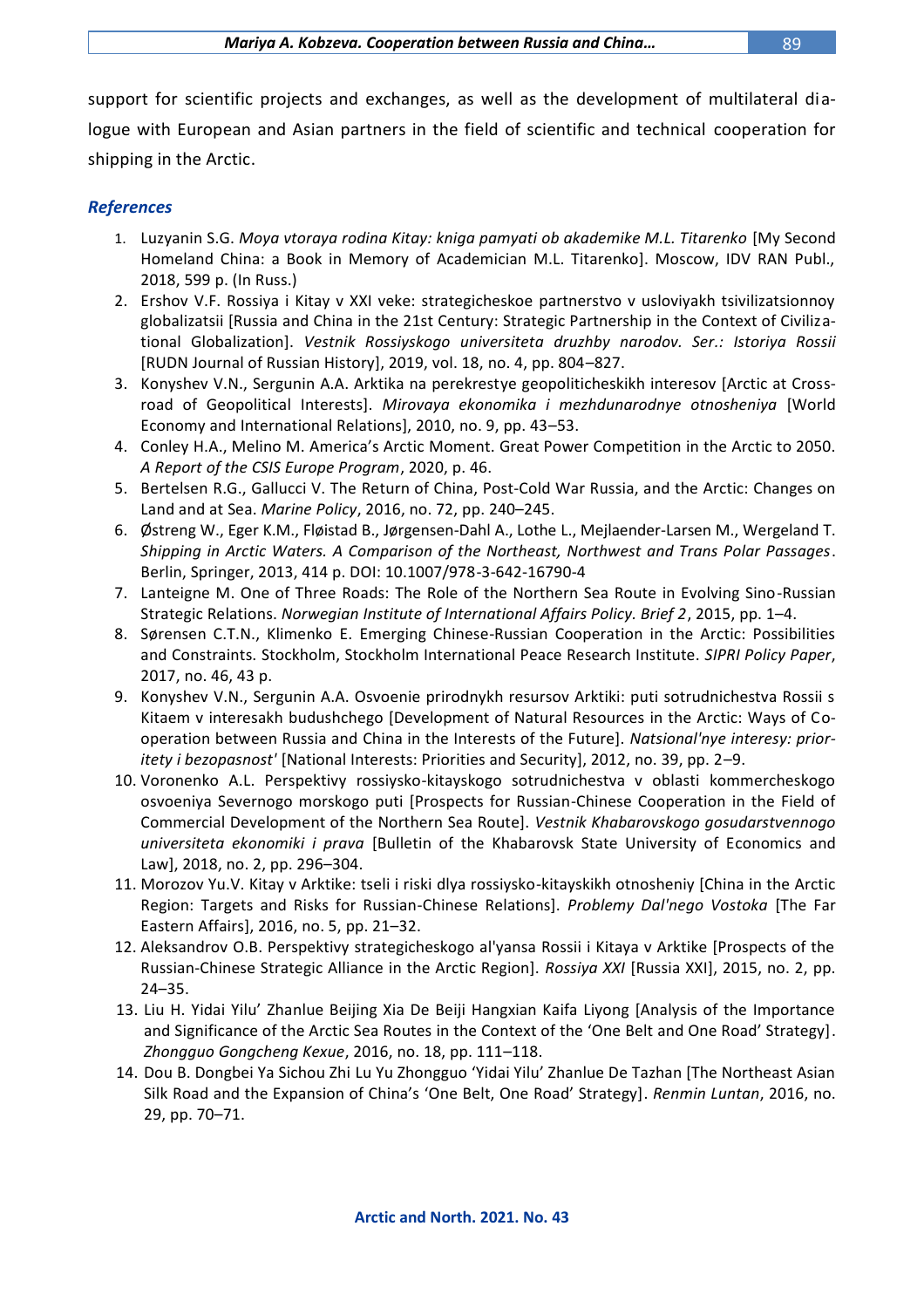support for scientific projects and exchanges, as well as the development of multilateral dialogue with European and Asian partners in the field of scientific and technical cooperation for shipping in the Arctic.

## *References*

- 1. Luzyanin S.G. *Moya vtoraya rodina Kitay: kniga pamyati ob akademike M.L. Titarenko* [My Second Homeland China: a Book in Memory of Academician M.L. Titarenko]. Moscow, IDV RAN Publ., 2018, 599 p. (In Russ.)
- 2. Ershov V.F. Rossiya i Kitay v XXI veke: strategicheskoe partnerstvo v usloviyakh tsivilizatsionnoy globalizatsii [Russia and China in the 21st Century: Strategic Partnership in the Context of Civilizational Globalization]. *Vestnik Rossiyskogo universiteta druzhby narodov. Ser.: Istoriya Rossii* [RUDN Journal of Russian History], 2019, vol. 18, no. 4, pp. 804–827.
- 3. Konyshev V.N., Sergunin A.A. Arktika na perekrestye geopoliticheskikh interesov [Arctic at Crossroad of Geopolitical Interests]. *Mirovaya ekonomika i mezhdunarodnye otnosheniya* [World Economy and International Relations], 2010, no. 9, pp. 43–53.
- 4. Conley H.A., Melino M. America's Arctic Moment. Great Power Competition in the Arctic to 2050. *A Report of the CSIS Europe Program*, 2020, p. 46.
- 5. Bertelsen R.G., Gallucci V. The Return of China, Post-Cold War Russia, and the Arctic: Changes on Land and at Sea. *Marine Policy*, 2016, no. 72, pp. 240–245.
- 6. Østreng W., Eger K.M., Fløistad B., Jørgensen-Dahl A., Lothe L., Mejlaender-Larsen M., Wergeland T. *Shipping in Arctic Waters. A Comparison of the Northeast, Northwest and Trans Polar Passages*. Berlin, Springer, 2013, 414 p. DOI: 10.1007/978-3-642-16790-4
- 7. Lanteigne M. One of Three Roads: The Role of the Northern Sea Route in Evolving Sino-Russian Strategic Relations. *Norwegian Institute of International Affairs Policy. Brief 2*, 2015, pp. 1–4.
- 8. Sørensen C.T.N., Klimenko E. Emerging Chinese-Russian Cooperation in the Arctic: Possibilities and Constraints. Stockholm, Stockholm International Peace Research Institute. *SIPRI Policy Paper*, 2017, no. 46, 43 p.
- 9. Konyshev V.N., Sergunin A.A. Osvoenie prirodnykh resursov Arktiki: puti sotrudnichestva Rossii s Kitaem v interesakh budushchego [Development of Natural Resources in the Arctic: Ways of Cooperation between Russia and China in the Interests of the Future]. *Natsional'nye interesy: prioritety i bezopasnost'* [National Interests: Priorities and Security], 2012, no. 39, pp. 2–9.
- 10. Voronenko A.L. Perspektivy rossiysko-kitayskogo sotrudnichestva v oblasti kommercheskogo osvoeniya Severnogo morskogo puti [Prospects for Russian-Chinese Cooperation in the Field of Commercial Development of the Northern Sea Route]. *Vestnik Khabarovskogo gosudarstvennogo universiteta ekonomiki i prava* [Bulletin of the Khabarovsk State University of Economics and Law], 2018, no. 2, pp. 296–304.
- 11. Morozov Yu.V. Kitay v Arktike: tseli i riski dlya rossiysko-kitayskikh otnosheniy [China in the Arctic Region: Targets and Risks for Russian-Chinese Relations]. *Problemy Dal'nego Vostoka* [The Far Eastern Affairs], 2016, no. 5, pp. 21–32.
- 12. Aleksandrov O.B. Perspektivy strategicheskogo al'yansa Rossii i Kitaya v Arktike [Prospects of the Russian-Chinese Strategic Alliance in the Arctic Region]. *Rossiya XXI* [Russia XXI], 2015, no. 2, pp. 24–35.
- 13. Liu H. Yidai Yilu' Zhanlue Beijing Xia De Beiji Hangxian Kaifa Liyong [Analysis of the Importance and Significance of the Arctic Sea Routes in the Context of the 'One Belt and One Road' Strategy]. *Zhongguo Gongcheng Kexue*, 2016, no. 18, pp. 111–118.
- 14. Dou B. Dongbei Ya Sichou Zhi Lu Yu Zhongguo 'Yidai Yilu' Zhanlue De Tazhan [The Northeast Asian Silk Road and the Expansion of China's 'One Belt, One Road' Strategy]. *Renmin Luntan*, 2016, no. 29, pp. 70–71.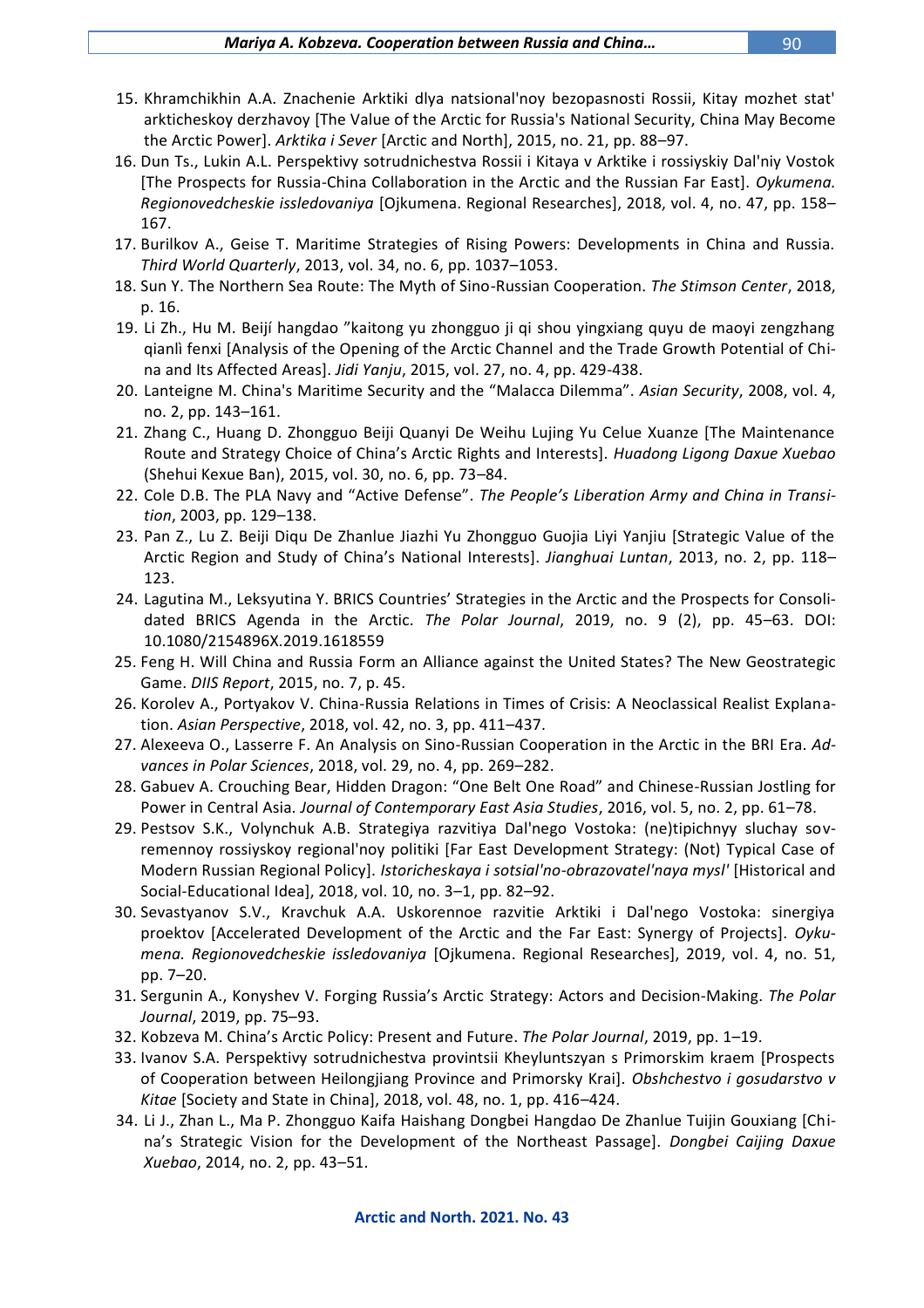- 15. Khramchikhin A.A. Znachenie Arktiki dlya natsional'noy bezopasnosti Rossii, Kitay mozhet stat' arkticheskoy derzhavoy [The Value of the Arctic for Russia's National Security, China May Become the Arctic Power]. *Arktika i Sever* [Arctic and North], 2015, no. 21, pp. 88–97.
- 16. Dun Ts., Lukin A.L. Perspektivy sotrudnichestva Rossii i Kitaya v Arktike i rossiyskiy Dal'niy Vostok [The Prospects for Russia-China Collaboration in the Arctic and the Russian Far East]. *Oykumena. Regionovedcheskie issledovaniya* [Ojkumena. Regional Researches], 2018, vol. 4, no. 47, pp. 158– 167.
- 17. Burilkov A., Geise T. Maritime Strategies of Rising Powers: Developments in China and Russia. *Third World Quarterly*, 2013, vol. 34, no. 6, pp. 1037–1053.
- 18. Sun Y. The Northern Sea Route: The Myth of Sino-Russian Cooperation. *The Stimson Center*, 2018, p. 16.
- 19. Li Zh., Hu M. Beijí hangdao "kaitong yu zhongguo ji qi shou yingxiang quyu de maoyi zengzhang qianlì fenxi [Analysis of the Opening of the Arctic Channel and the Trade Growth Potential of China and Its Affected Areas]. *Jidi Yanju*, 2015, vol. 27, no. 4, pp. 429-438.
- 20. Lanteigne M. China's Maritime Security and the "Malacca Dilemma". *Asian Security*, 2008, vol. 4, no. 2, pp. 143–161.
- 21. Zhang C., Huang D. Zhongguo Beiji Quanyi De Weihu Lujing Yu Celue Xuanze [The Maintenance Route and Strategy Choice of China's Arctic Rights and Interests]. *Huadong Ligong Daxue Xuebao* (Shehui Kexue Ban), 2015, vol. 30, no. 6, pp. 73–84.
- 22. Cole D.B. The PLA Navy and "Active Defense". *The People's Liberation Army and China in Transition*, 2003, pp. 129–138.
- 23. Pan Z., Lu Z. Beiji Diqu De Zhanlue Jiazhi Yu Zhongguo Guojia Liyi Yanjiu [Strategic Value of the Arctic Region and Study of China's National Interests]. *Jianghuai Luntan*, 2013, no. 2, pp. 118– 123.
- 24. Lagutina M., Leksyutina Y. BRICS Countries' Strategies in the Arctic and the Prospects for Consolidated BRICS Agenda in the Arctic. *The Polar Journal*, 2019, no. 9 (2), pp. 45–63. DOI: 10.1080/2154896X.2019.1618559
- 25. Feng H. Will China and Russia Form an Alliance against the United States? The New Geostrategic Game. *DIIS Report*, 2015, no. 7, p. 45.
- 26. Korolev A., Portyakov V. China-Russia Relations in Times of Crisis: A Neoclassical Realist Explanation. *Asian Perspective*, 2018, vol. 42, no. 3, pp. 411–437.
- 27. Alexeeva O., Lasserre F. An Analysis on Sino-Russian Cooperation in the Arctic in the BRI Era. *Advances in Polar Sciences*, 2018, vol. 29, no. 4, pp. 269–282.
- 28. Gabuev A. Crouching Bear, Hidden Dragon: "One Belt One Road" and Chinese-Russian Jostling for Power in Central Asia*. Journal of Contemporary East Asia Studies*, 2016, vol. 5, no. 2, pp. 61–78.
- 29. Pestsov S.K., Volynchuk A.B. Strategiya razvitiya Dal'nego Vostoka: (ne)tipichnyy sluchay sovremennoy rossiyskoy regional'noy politiki [Far East Development Strategy: (Not) Typical Case of Modern Russian Regional Policy]. *Istoricheskaya i sotsial'no-obrazovatel'naya mysl'* [Historical and Social-Educational Idea], 2018, vol. 10, no. 3–1, pp. 82–92.
- 30. Sevastyanov S.V., Kravchuk A.A. Uskorennoe razvitie Arktiki i Dal'nego Vostoka: sinergiya proektov [Accelerated Development of the Arctic and the Far East: Synergy of Projects]. *Oykumena. Regionovedcheskie issledovaniya* [Ojkumena. Regional Researches], 2019, vol. 4, no. 51, pp. 7–20.
- 31. Sergunin A., Konyshev V. Forging Russia's Arctic Strategy: Actors and Decision-Making. *The Polar Journal*, 2019, pp. 75–93.
- 32. Kobzeva M. China's Arctic Policy: Present and Future. *The Polar Journal*, 2019, pp. 1–19.
- 33. Ivanov S.A. Perspektivy sotrudnichestva provintsii Kheyluntszyan s Primorskim kraem [Prospects of Cooperation between Heilongjiang Province and Primorsky Krai]. *Obshchestvo i gosudarstvo v Kitae* [Society and State in China], 2018, vol. 48, no. 1, pp. 416–424.
- 34. Li J., Zhan L., Ma P. Zhongguo Kaifa Haishang Dongbei Hangdao De Zhanlue Tuijin Gouxiang [China's Strategic Vision for the Development of the Northeast Passage]. *Dongbei Caijing Daxue Xuebao*, 2014, no. 2, pp. 43–51.